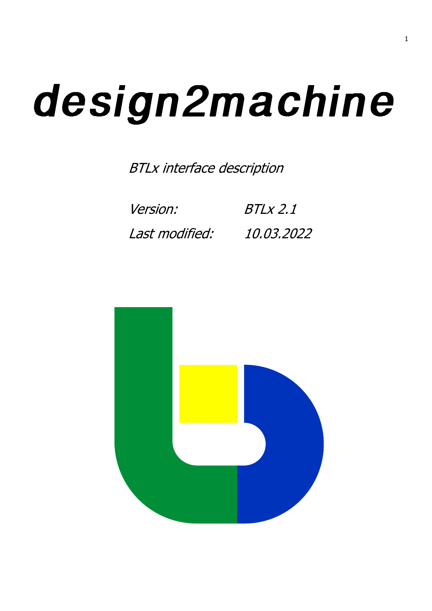# design2machine

BTLx interface description

Version: Last modified: BTLx 2.1 10.03.2022

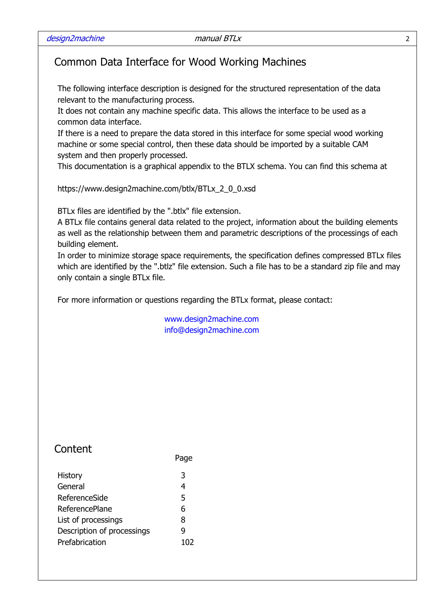## Common Data Interface for Wood Working Machines

The following interface description is designed for the structured representation of the data relevant to the manufacturing process.

It does not contain any machine specific data. This allows the interface to be used as a common data interface.

If there is a need to prepare the data stored in this interface for some special wood working machine or some special control, then these data should be imported by a suitable CAM system and then properly processed.

This documentation is a graphical appendix to the BTLX schema. You can find this schema at

https://www.design2machine.com/btlx/BTLx\_2\_0\_0.xsd

BTLx files are identified by the ".btlx" file extension.

A BTLx file contains general data related to the project, information about the building elements as well as the relationship between them and parametric descriptions of the processings of each building element.

In order to minimize storage space requirements, the specification defines compressed BTLx files which are identified by the ".btlz" file extension. Such a file has to be a standard zip file and may only contain a single BTLx file.

For more information or questions regarding the BTLx format, please contact:

Page

www.design2machine.com info@design2machine.com

# **Content**

| <b>History</b>             | 3   |
|----------------------------|-----|
| General                    | 4   |
| ReferenceSide              | 5   |
| ReferencePlane             | 6   |
| List of processings        | 8   |
| Description of processings | q   |
| Prefabrication             | 102 |
|                            |     |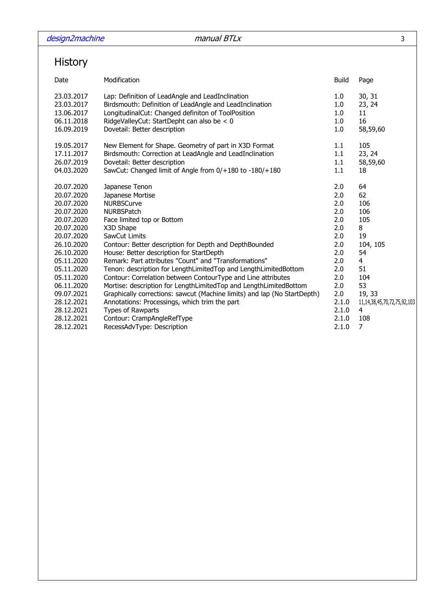# History

| Date       | Modification                                                             | <b>Build</b> | Page                                |
|------------|--------------------------------------------------------------------------|--------------|-------------------------------------|
| 23.03.2017 | Lap: Definition of LeadAngle and LeadInclination                         | 1.0          | 30, 31                              |
| 23.03.2017 | Birdsmouth: Definition of LeadAngle and LeadInclination                  | 1.0          | 23, 24                              |
| 13.06.2017 | LongitudinalCut: Changed definiton of ToolPosition                       | 1.0          | 11                                  |
| 06.11.2018 | RidgeValleyCut: StartDepht can also be < 0                               | 1.0          | 16                                  |
| 16.09.2019 | Dovetail: Better description                                             | 1.0          | 58,59,60                            |
| 19.05.2017 | New Element for Shape. Geometry of part in X3D Format                    | 1.1          | 105                                 |
| 17.11.2017 | Birdsmouth: Correction at LeadAngle and LeadInclination                  | 1.1          | 23, 24                              |
| 26.07.2019 | Dovetail: Better description                                             | 1.1          | 58,59,60                            |
| 04.03.2020 | SawCut: Changed limit of Angle from 0/+180 to -180/+180                  | 1.1          | 18                                  |
| 20.07.2020 | Japanese Tenon                                                           | 2.0          | 64                                  |
| 20.07.2020 | Japanese Mortise                                                         | 2.0          | 62                                  |
| 20.07.2020 | <b>NURBSCurve</b>                                                        | 2.0          | 106                                 |
| 20.07.2020 | <b>NURBSPatch</b>                                                        | 2.0          | 106                                 |
| 20.07.2020 | Face limited top or Bottom                                               | 2.0          | 105                                 |
| 20.07.2020 | X3D Shape                                                                | 2.0          | 8                                   |
| 20.07.2020 | SawCut Limits                                                            | 2.0          | 19                                  |
| 26.10.2020 | Contour: Better description for Depth and DepthBounded                   | 2.0          | 104, 105                            |
| 26.10.2020 | House: Better description for StartDepth                                 | 2.0          | 54                                  |
| 05.11.2020 | Remark: Part attributes "Count" and "Transformations"                    | 2.0          | 4                                   |
| 05.11.2020 | Tenon: description for LengthLimitedTop and LengthLimitedBottom          | 2.0          | 51                                  |
| 05.11.2020 | Contour: Correlation between ContourType and Line attributes             | 2.0          | 104                                 |
| 06.11.2020 | Mortise: description for LengthLimitedTop and LengthLimitedBottom        | 2.0          | 53                                  |
| 09.07.2021 | Graphically corrections: sawcut (Machine limits) and lap (No StartDepth) | 2.0          | 19, 33                              |
| 28.12.2021 | Annotations: Processings, which trim the part                            | 2.1.0        | 11, 14, 38, 45, 70, 72, 75, 92, 103 |
| 28.12.2021 | Types of Rawparts                                                        | 2.1.0        | 4                                   |
| 28.12.2021 | Contour: CrampAngleRefType                                               | 2.1.0        | 108                                 |
| 28.12.2021 | RecessAdvType: Description                                               | 2.1.0        | 7                                   |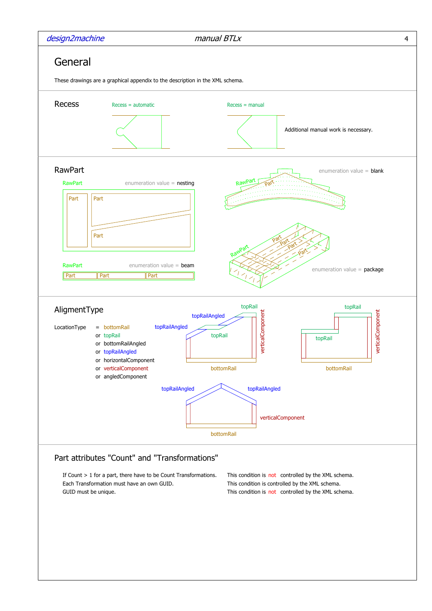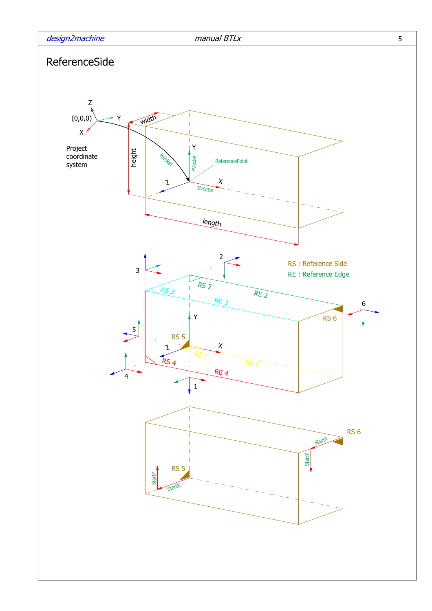

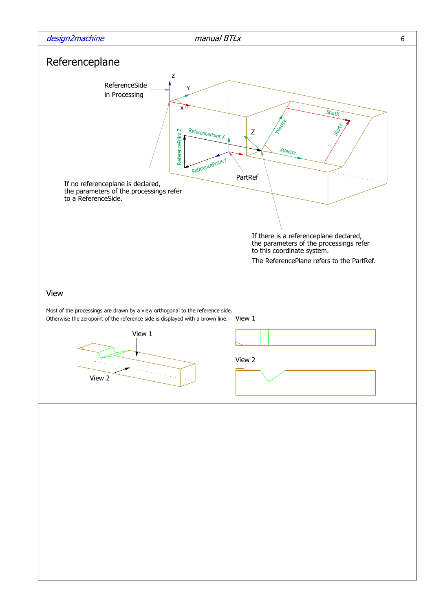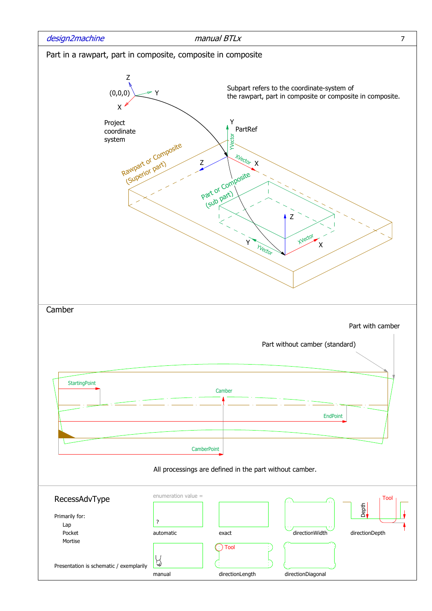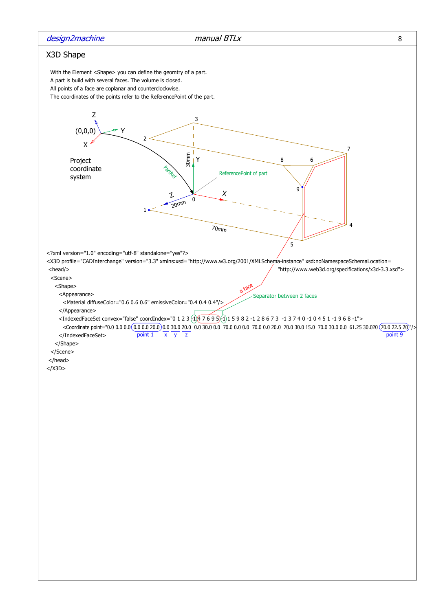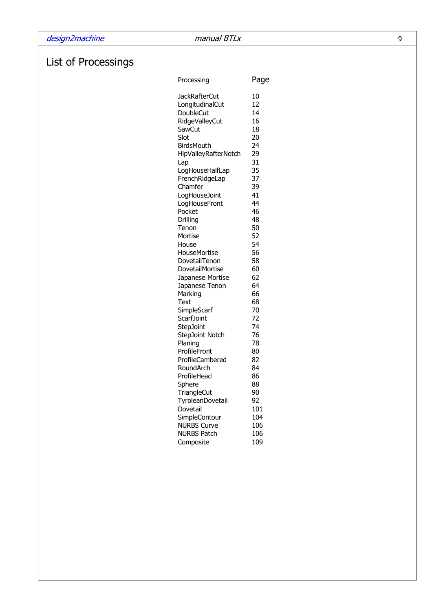# List of Processings

| Processing                       | Page     |
|----------------------------------|----------|
| <b>JackRafterCut</b>             | 10       |
| LongitudinalCut                  | 12       |
| DoubleCut                        | 14       |
| <b>RidgeValleyCut</b>            | 16       |
| SawCut                           | 18       |
| Slot                             | 20       |
| BirdsMouth                       | 24       |
| HipValleyRafterNotch             | 29       |
| Lap                              | 31       |
| LogHouseHalfLap                  | 35       |
| FrenchRidgeLap                   | 37       |
| Chamfer                          | 39       |
| LogHouseJoint                    | 41       |
| LogHouseFront                    | 44       |
| Pocket                           | 46       |
| Drilling                         | 48       |
| Tenon                            | 50       |
| Mortise                          | 52       |
| House                            | 54       |
| HouseMortise                     | 56<br>58 |
| DovetailTenon<br>DovetailMortise | 60       |
| Japanese Mortise                 | 62       |
| Japanese Tenon                   | 64       |
| Marking                          | 66       |
| Text                             | 68       |
| SimpleScarf                      | 70       |
| <b>ScarfJoint</b>                | 72       |
| <b>StepJoint</b>                 | 74       |
| <b>StepJoint Notch</b>           | 76       |
| Planing                          | 78       |
| ProfileFront                     | 80       |
| ProfileCambered                  | 82       |
| RoundArch                        | 84       |
| ProfileHead                      | 86       |
| Sphere                           | 88       |
| TriangleCut                      | 90       |
| TyroleanDovetail                 | 92       |
| Dovetail                         | 101      |
| SimpleContour                    | 104      |
| <b>NURBS Curve</b>               | 106      |
| <b>NURBS Patch</b>               | 106      |
| Composite                        | 109      |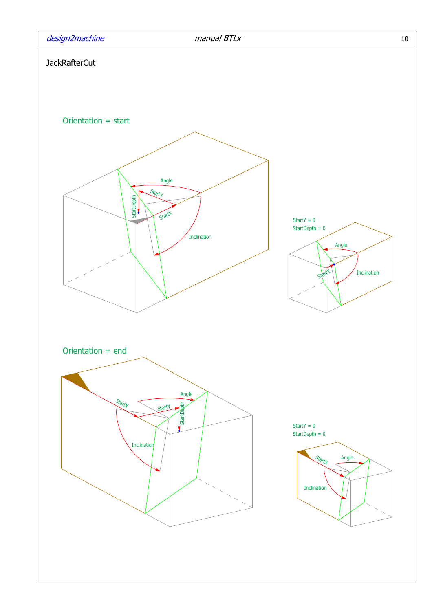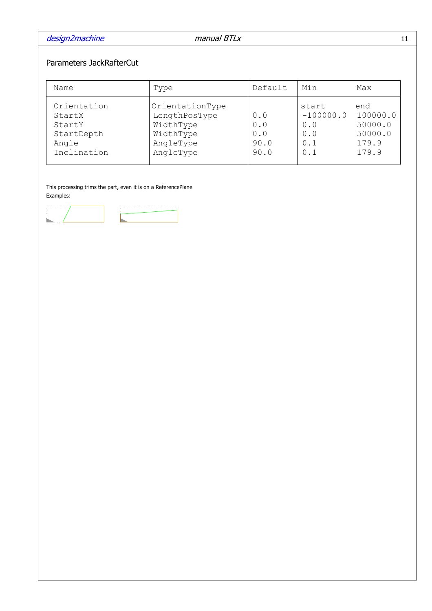## Parameters JackRafterCut

| Name                                                                  | Type                                                                                 | Default                           | Min                                              | Max                                                     |
|-----------------------------------------------------------------------|--------------------------------------------------------------------------------------|-----------------------------------|--------------------------------------------------|---------------------------------------------------------|
| Orientation<br>StartX<br>StartY<br>StartDepth<br>Angle<br>Inclination | OrientationType<br>LengthPosType<br>WidthType<br>WidthType<br>AngleType<br>AngleType | 0.0<br>0.0<br>0.0<br>90.0<br>90.0 | start<br>$-100000.0$<br>0.0<br>0.0<br>0.1<br>0.1 | end<br>100000.0<br>50000.0<br>50000.0<br>179.9<br>179.9 |

This processing trims the part, even it is on a ReferencePlane Examples:

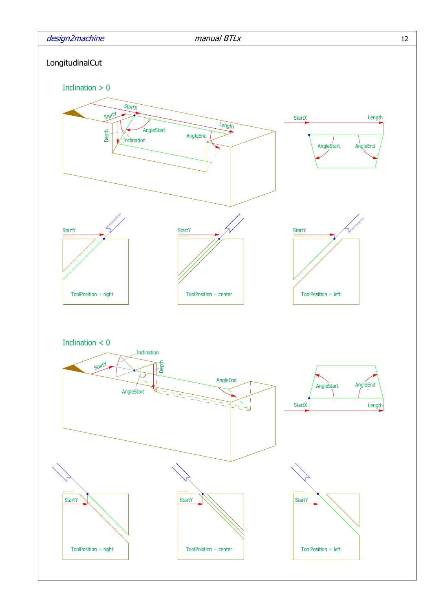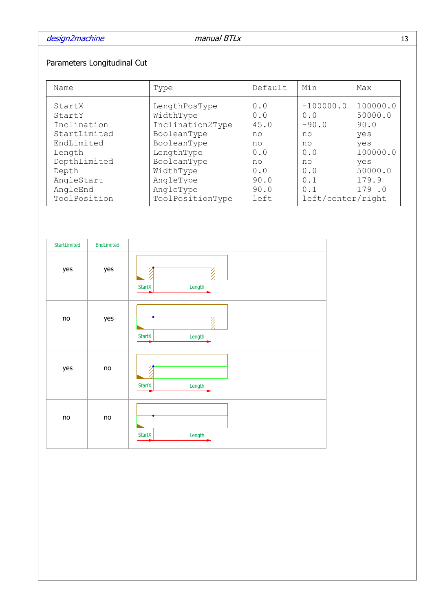## Parameters Longitudinal Cut

| Name                                                                                                                                       | Type                                                                                                                                                                 | Default                                                                    | Min                                                                                              | Max                                                                                       |
|--------------------------------------------------------------------------------------------------------------------------------------------|----------------------------------------------------------------------------------------------------------------------------------------------------------------------|----------------------------------------------------------------------------|--------------------------------------------------------------------------------------------------|-------------------------------------------------------------------------------------------|
| StartX<br>StartY<br>Inclination<br>StartLimited<br>EndLimited<br>Length<br>DepthLimited<br>Depth<br>AngleStart<br>AngleEnd<br>ToolPosition | LengthPosType<br>WidthType<br>Inclination2Type<br>BooleanType<br>BooleanType<br>LengthType<br>BooleanType<br>WidthType<br>AngleType<br>AngleType<br>ToolPositionType | 0.0<br>0.0<br>45.0<br>no<br>no<br>0.0<br>no<br>0.0<br>90.0<br>90.0<br>left | $-100000.0$<br>0.0<br>$-90.0$<br>no<br>no<br>0.0<br>no<br>0.0<br>0.1<br>0.1<br>left/center/right | 100000.0<br>50000.0<br>90.0<br>yes<br>yes<br>100000.0<br>yes<br>50000.0<br>179.9<br>179.0 |

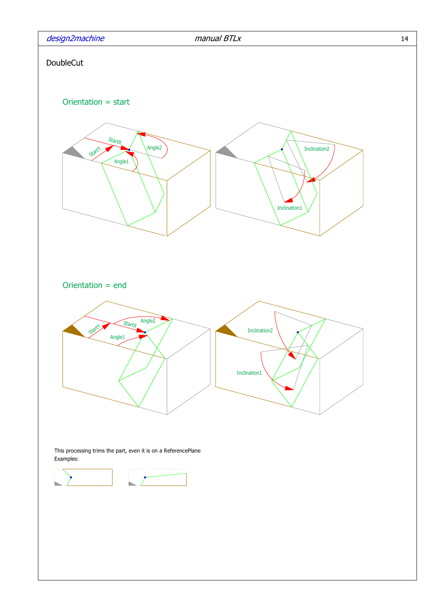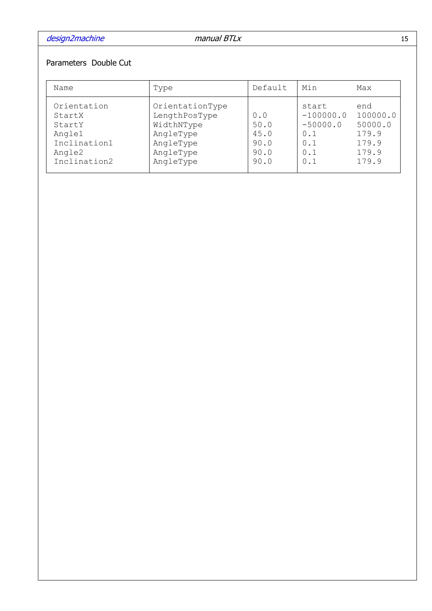## Parameters Double Cut

| Name                                                                                | Type                                                                                               | Default                                     | Min                                                            | Max                                                            |
|-------------------------------------------------------------------------------------|----------------------------------------------------------------------------------------------------|---------------------------------------------|----------------------------------------------------------------|----------------------------------------------------------------|
| Orientation<br>StartX<br>StartY<br>Angle1<br>Inclination1<br>Angle2<br>Inclination2 | OrientationType<br>LengthPosType<br>WidthNType<br>AngleType<br>AngleType<br>AngleType<br>AngleType | 0.0<br>50.0<br>45.0<br>90.0<br>90.0<br>90.0 | start<br>$-100000.0$<br>$-50000.0$<br>0.1<br>0.1<br>0.1<br>0.1 | end<br>100000.0<br>50000.0<br>179.9<br>179.9<br>179.9<br>179.9 |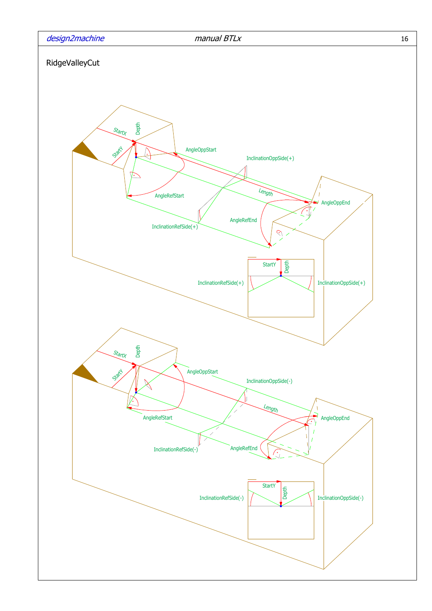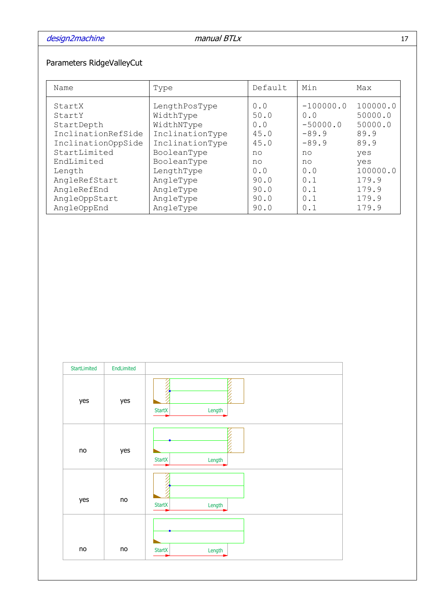## Parameters RidgeValleyCut

| Name                                                 | Type                                                        | Default                    | Min                                         | Max                                    |
|------------------------------------------------------|-------------------------------------------------------------|----------------------------|---------------------------------------------|----------------------------------------|
| StartX<br>StartY<br>StartDepth<br>InclinationRefSide | LengthPosType<br>WidthType<br>WidthNType<br>InclinationType | 0.0<br>50.0<br>0.0<br>45.0 | $-100000.0$<br>0.0<br>$-50000.0$<br>$-89.9$ | 100000.0<br>50000.0<br>50000.0<br>89.9 |
| InclinationOppSide                                   | InclinationType                                             | 45.0                       | $-89.9$                                     | 89.9                                   |
| StartLimited                                         | BooleanType                                                 | no                         | no                                          | yes                                    |
| EndLimited                                           | BooleanType                                                 | no                         | no                                          | yes                                    |
| Length                                               | LengthType                                                  | 0.0                        | 0.0                                         | 100000.0                               |
| AngleRefStart                                        | AngleType                                                   | 90.0                       | 0.1                                         | 179.9                                  |
| AngleRefEnd                                          | AngleType                                                   | 90.0                       | 0.1                                         | 179.9                                  |
| AngleOppStart                                        | AngleType                                                   | 90.0                       | 0.1                                         | 179.9                                  |
| AngleOppEnd                                          | AngleType                                                   | 90.0                       | 0.1                                         | 179.9                                  |

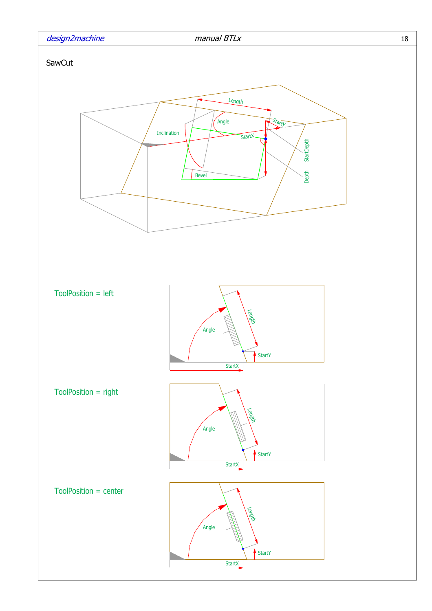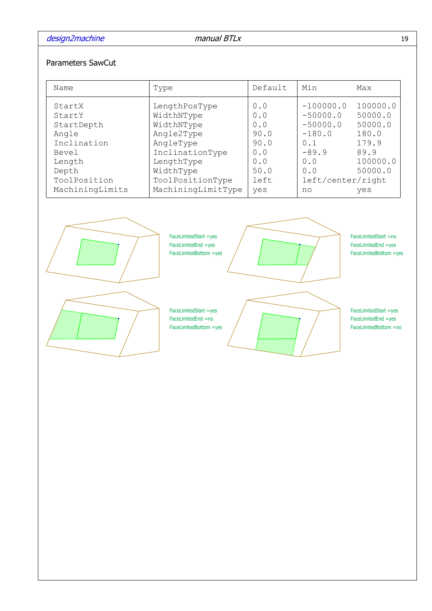### Parameters SawCut

| Name                                                                                                                  | Type                                                                                                                                                         | Default                                                                | Min                                                                                                            | Max                                                                                    |
|-----------------------------------------------------------------------------------------------------------------------|--------------------------------------------------------------------------------------------------------------------------------------------------------------|------------------------------------------------------------------------|----------------------------------------------------------------------------------------------------------------|----------------------------------------------------------------------------------------|
| StartX<br>StartY<br>StartDepth<br>Angle<br>Inclination<br>Bevel<br>Length<br>Depth<br>ToolPosition<br>MachiningLimits | LengthPosType<br>WidthNType<br>WidthNType<br>Angle2Type<br>AngleType<br>InclinationType<br>LengthType<br>WidthType<br>ToolPositionType<br>MachiningLimitType | 0.0<br>0.0<br>0.0<br>90.0<br>90.0<br>0.0<br>0.0<br>50.0<br>left<br>yes | $-100000.0$<br>$-50000.0$<br>$-50000.0$<br>$-180.0$<br>0.1<br>$-89.9$<br>0.0<br>0.0<br>left/center/right<br>no | 100000.0<br>50000.0<br>50000.0<br>180.0<br>179.9<br>89.9<br>100000.0<br>50000.0<br>yes |
|                                                                                                                       |                                                                                                                                                              |                                                                        |                                                                                                                |                                                                                        |



FaceLimitedStart =yes FaceLimitedEnd =yes FaceLimitedBottom =yes

FaceLimitedStart =yes FaceLimitedEnd =no FaceLimitedBottom =yes



FaceLimitedStart =no FaceLimitedEnd =yes FaceLimitedBottom =yes

FaceLimitedStart =yes FaceLimitedEnd =yes FaceLimitedBottom =no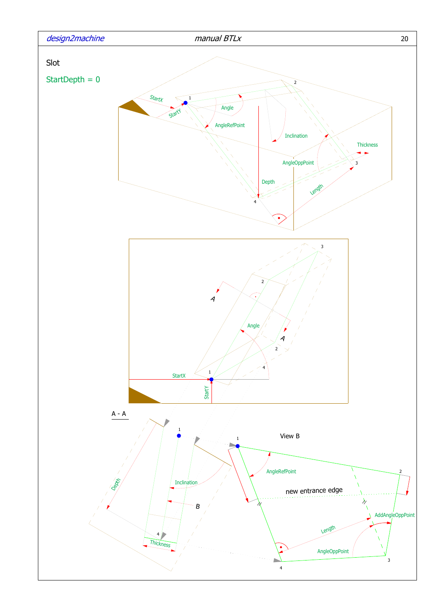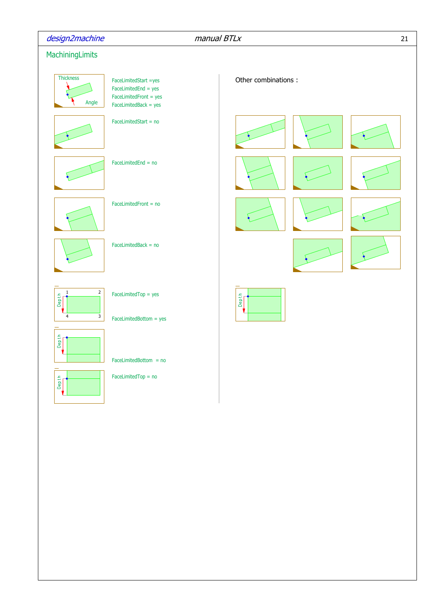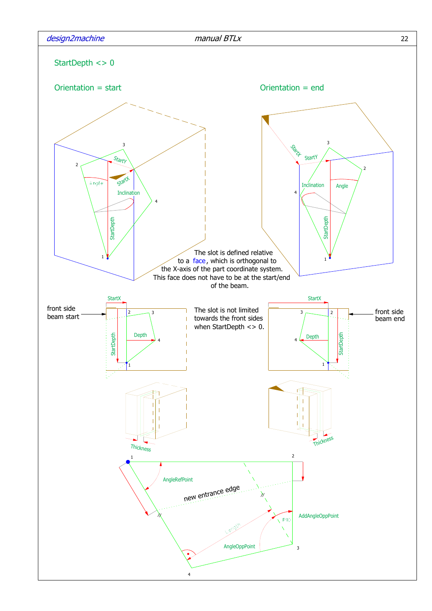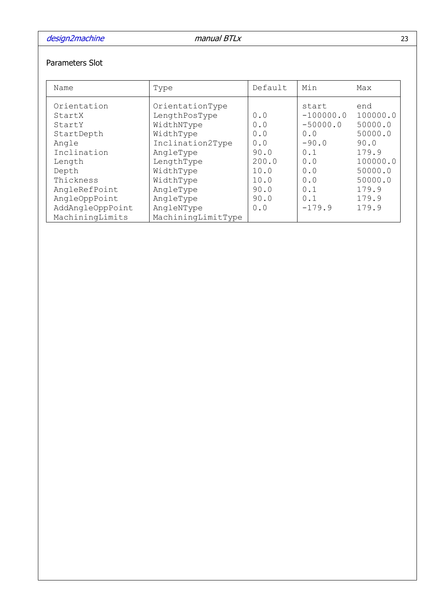## Parameters Slot

| Name                                                                                                                                                        | Type                                                                                                                                                                         | Default                                                                          | Min                                                                                                        | Max                                                                                                                 |
|-------------------------------------------------------------------------------------------------------------------------------------------------------------|------------------------------------------------------------------------------------------------------------------------------------------------------------------------------|----------------------------------------------------------------------------------|------------------------------------------------------------------------------------------------------------|---------------------------------------------------------------------------------------------------------------------|
| Orientation<br>StartX<br>StartY<br>StartDepth<br>Angle<br>Inclination<br>Length<br>Depth<br>Thickness<br>AngleRefPoint<br>AngleOppPoint<br>AddAngleOppPoint | OrientationType<br>LengthPosType<br>WidthNType<br>WidthType<br>Inclination2Type<br>AngleType<br>LengthType<br>WidthType<br>WidthType<br>AngleType<br>AngleType<br>AngleNType | 0.0<br>0.0<br>0.0<br>0.0<br>90.0<br>200.0<br>10.0<br>10.0<br>90.0<br>90.0<br>0.0 | start<br>$-100000.0$<br>$-50000.0$<br>0.0<br>$-90.0$<br>0.1<br>0.0<br>0.0<br>0.0<br>0.1<br>0.1<br>$-179.9$ | end<br>100000.0<br>50000.0<br>50000.0<br>90.0<br>179.9<br>100000.0<br>50000.0<br>50000.0<br>179.9<br>179.9<br>179.9 |
| MachiningLimits                                                                                                                                             | MachiningLimitType                                                                                                                                                           |                                                                                  |                                                                                                            |                                                                                                                     |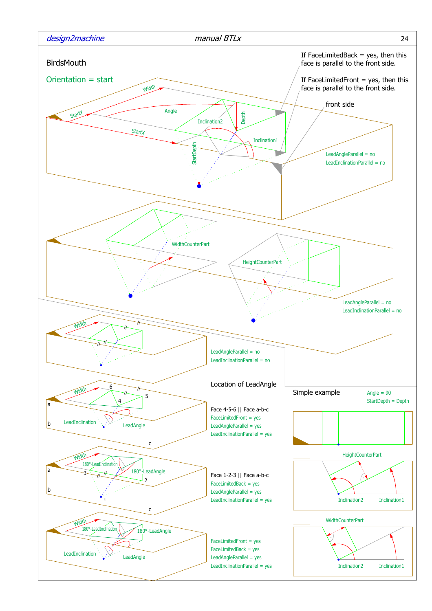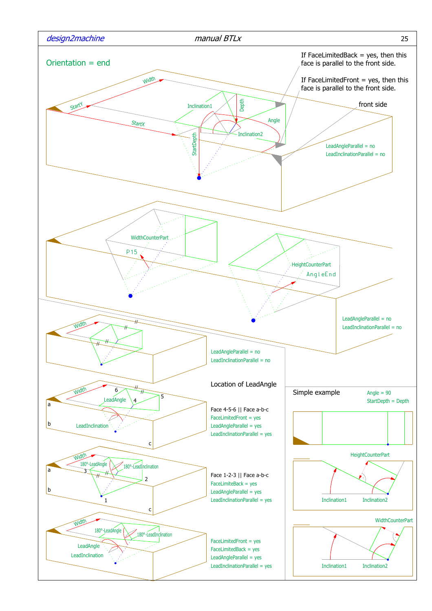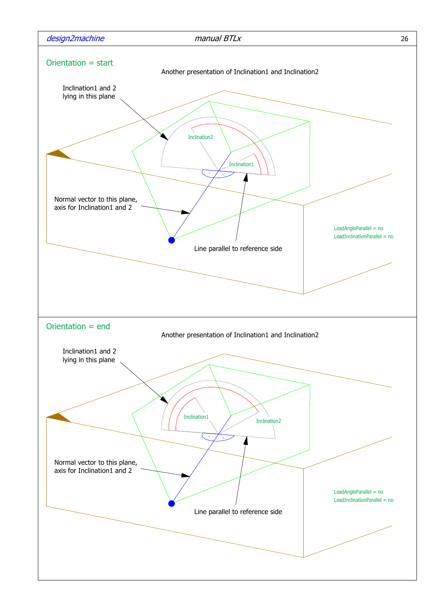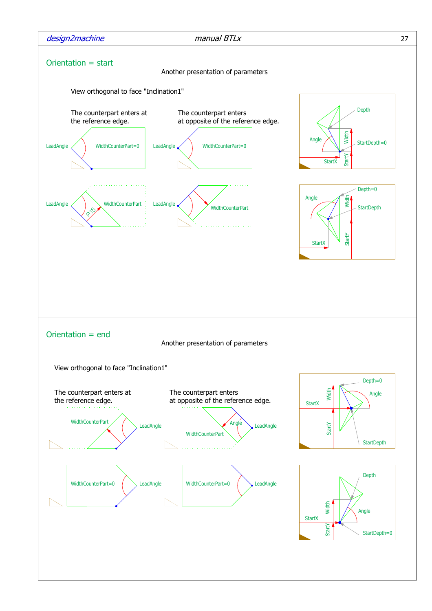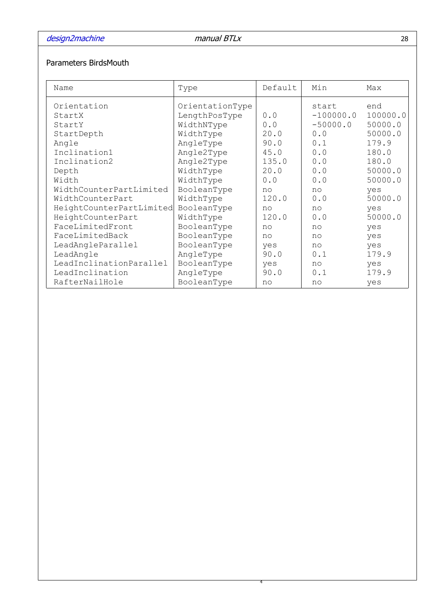## Parameters BirdsMouth

| Name                     | Type            | Default | Min         | Max      |
|--------------------------|-----------------|---------|-------------|----------|
| Orientation              | OrientationType |         | start       | end      |
| StartX                   | LengthPosType   | 0.0     | $-100000.0$ | 100000.0 |
| StartY                   | WidthNType      | 0.0     | $-50000.0$  | 50000.0  |
| StartDepth               | WidthType       | 20.0    | 0.0         | 50000.0  |
| Angle                    | AngleType       | 90.0    | 0.1         | 179.9    |
| Inclination1             | Angle2Type      | 45.0    | 0.0         | 180.0    |
| Inclination2             | Angle2Type      | 135.0   | 0.0         | 180.0    |
| Depth                    | WidthType       | 20.0    | 0.0         | 50000.0  |
| Width                    | WidthType       | 0.0     | 0.0         | 50000.0  |
| WidthCounterPartLimited  | BooleanType     | no      | $n^{\circ}$ | yes      |
| WidthCounterPart         | WidthType       | 120.0   | 0.0         | 50000.0  |
| HeightCounterPartLimited | BooleanType     | no      | no          | yes      |
| HeightCounterPart        | WidthType       | 120.0   | 0.0         | 50000.0  |
| FaceLimitedFront         | BooleanType     | no      | no          | yes      |
| FaceLimitedBack          | BooleanType     | no      | no          | yes      |
| LeadAngleParallel        | BooleanType     | yes     | no          | yes      |
| LeadAngle                | AngleType       | 90.0    | 0.1         | 179.9    |
| LeadInclinationParallel  | BooleanType     | yes     | no          | yes      |
| LeadInclination          | AngleType       | 90.0    | 0.1         | 179.9    |
| RafterNailHole           | BooleanType     | no      | no          | yes      |

4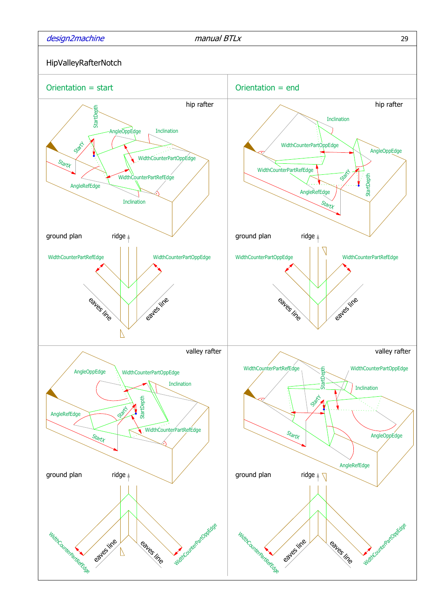

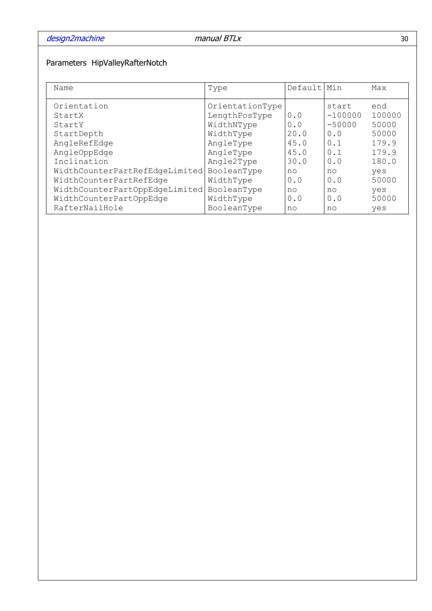## Parameters HipValleyRafterNotch

| Name                           | Type            | Default | Min       | Max    |
|--------------------------------|-----------------|---------|-----------|--------|
| Orientation                    | OrientationType |         | start     | end    |
| StartX                         | LengthPosType   | 0.0     | $-100000$ | 100000 |
| StartY                         | WidthNType      | 0.0     | $-50000$  | 50000  |
| StartDepth                     | WidthType       | 20.0    | 0.0       | 50000  |
| AngleRefEdge                   | AngleType       | 45.0    | 0.1       | 179.9  |
| AngleOppEdge                   | AngleType       | 45.0    | 0.1       | 179.9  |
| Inclination                    | Angle2Type      | 30.0    | 0.0       | 180.0  |
| WidthCounterPartRefEdgeLimited | BooleanType     | no      | no        | yes    |
| WidthCounterPartRefEdge        | WidthType       | 0.0     | 0.0       | 50000  |
| WidthCounterPartOppEdgeLimited | BooleanType     | no      | no        | yes    |
| WidthCounterPartOppEdge        | WidthType       | 0.0     | 0.0       | 50000  |
| RafterNailHole                 | BooleanType     | no      | no        | yes    |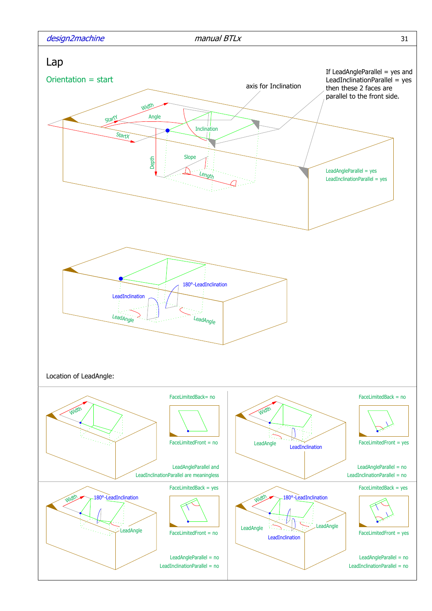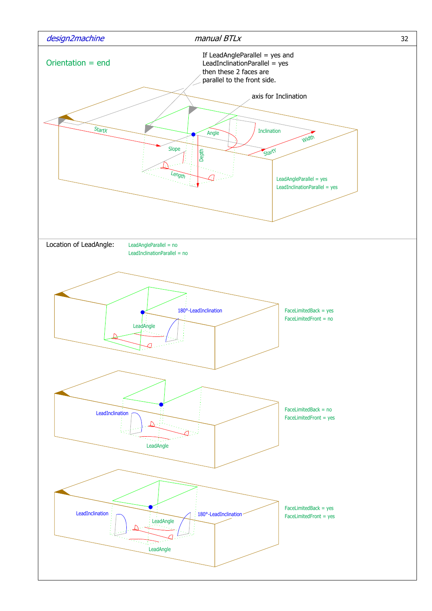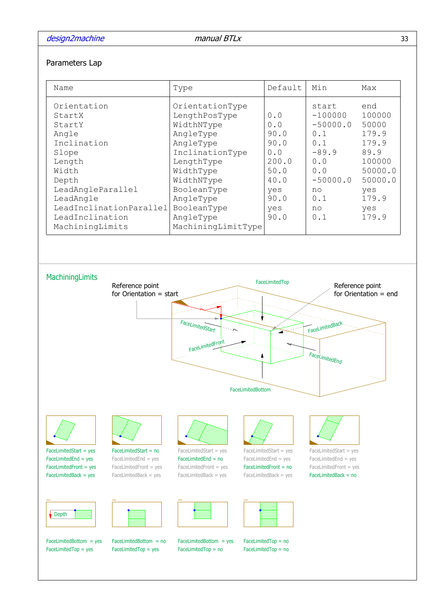#### Parameters Lap

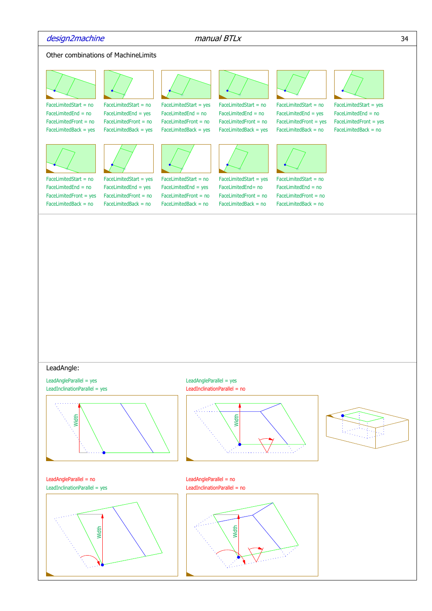#### design2machine manual BTLx 34

#### Other combinations of MachineLimits



FaceLimitedBack = no FaceLimitedBack = no FaceLimitedBack = no FaceLimitedBack = no FaceLimitedBack = no

#### LeadAngle:

LeadInclinationParallel = yes LeadAngleParallel = yes



LeadAngleParallel = no LeadInclinationParallel = yes LeadInclinationParallel = no



LeadInclinationParallel = no LeadAngleParallel = yes



LeadAngleParallel = no

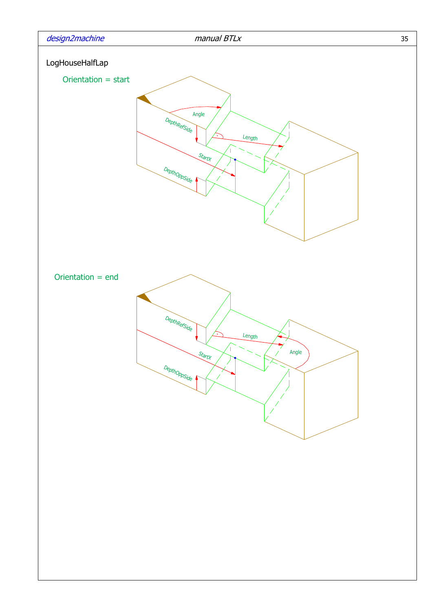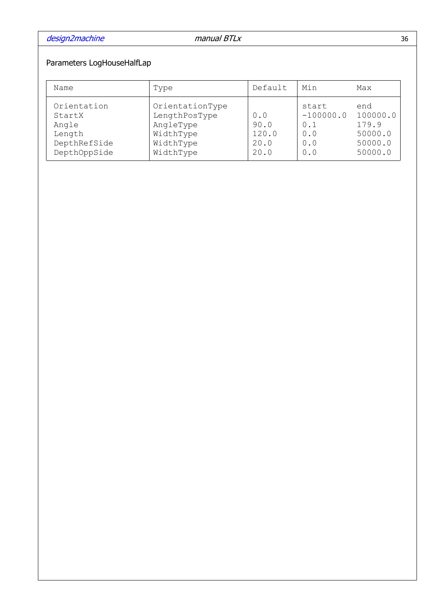## Parameters LogHouseHalfLap

| Name                                                                     | Type                                                                                 | Default                              | Min                                              | Max                                                       |
|--------------------------------------------------------------------------|--------------------------------------------------------------------------------------|--------------------------------------|--------------------------------------------------|-----------------------------------------------------------|
| Orientation<br>StartX<br>Angle<br>Length<br>DepthRefSide<br>DepthOppSide | OrientationType<br>LengthPosType<br>AngleType<br>WidthType<br>WidthType<br>WidthType | 0.0<br>90.0<br>120.0<br>20.0<br>20.0 | start<br>$-100000.0$<br>0.1<br>0.0<br>0.0<br>0.0 | end<br>100000.0<br>179.9<br>50000.0<br>50000.0<br>50000.0 |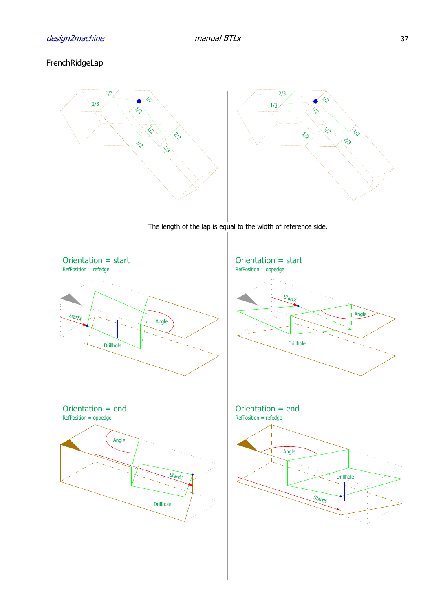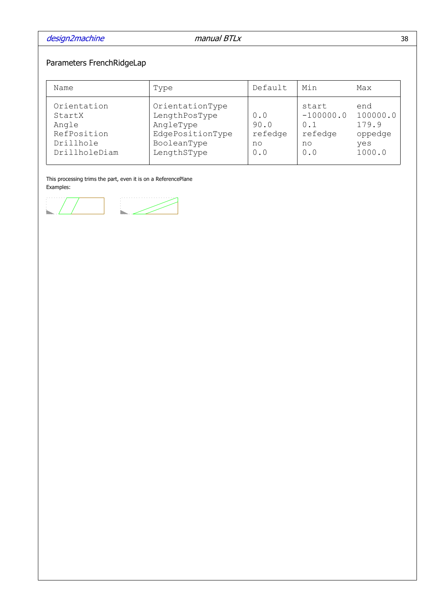# Parameters FrenchRidgeLap

| Name                                                                        | Type                                                                                            | Default                             | Min                                                 | Max                                                  |
|-----------------------------------------------------------------------------|-------------------------------------------------------------------------------------------------|-------------------------------------|-----------------------------------------------------|------------------------------------------------------|
| Orientation<br>StartX<br>Angle<br>RefPosition<br>Drillhole<br>DrillholeDiam | OrientationType<br>LengthPosType<br>AngleType<br>EdgePositionType<br>BooleanType<br>LengthSType | 0.0<br>90.0<br>refedge<br>no<br>0.0 | start<br>$-100000.0$<br>0.1<br>refedge<br>no<br>0.0 | end<br>100000.0<br>179.9<br>oppedge<br>yes<br>1000.0 |

This processing trims the part, even it is on a ReferencePlane Examples:

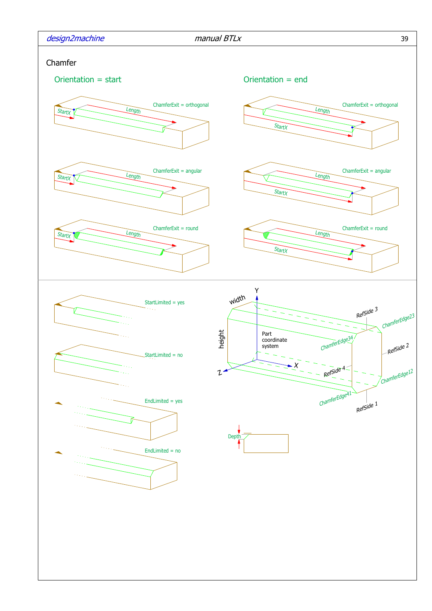| design2machine |  |  |
|----------------|--|--|
|                |  |  |

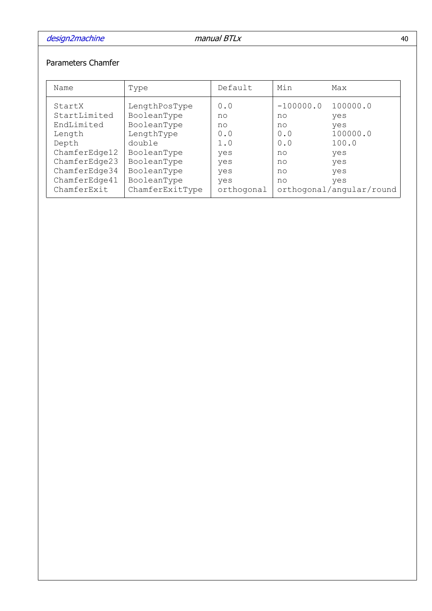## Parameters Chamfer

| Name                                                                                                                                       | Type                                                                                                                                               | Default                                                                 | Min                                                           | Max                                                                                                 |
|--------------------------------------------------------------------------------------------------------------------------------------------|----------------------------------------------------------------------------------------------------------------------------------------------------|-------------------------------------------------------------------------|---------------------------------------------------------------|-----------------------------------------------------------------------------------------------------|
| StartX<br>StartLimited<br>EndLimited<br>Length<br>Depth<br>ChamferEdge12<br>ChamferEdge23<br>ChamferEdge34<br>ChamferEdge41<br>ChamferExit | LengthPosType<br>BooleanType<br>BooleanType<br>LengthType<br>double<br>BooleanType<br>BooleanType<br>BooleanType<br>BooleanType<br>ChamferExitType | 0.0<br>no<br>no<br>0.0<br>1.0<br>yes<br>yes<br>yes<br>yes<br>orthogonal | $-100000.0$<br>no<br>no<br>0.0<br>0.0<br>no<br>no<br>no<br>no | 100000.0<br>yes<br>yes<br>100000.0<br>100.0<br>yes<br>yes<br>yes<br>yes<br>orthogonal/angular/round |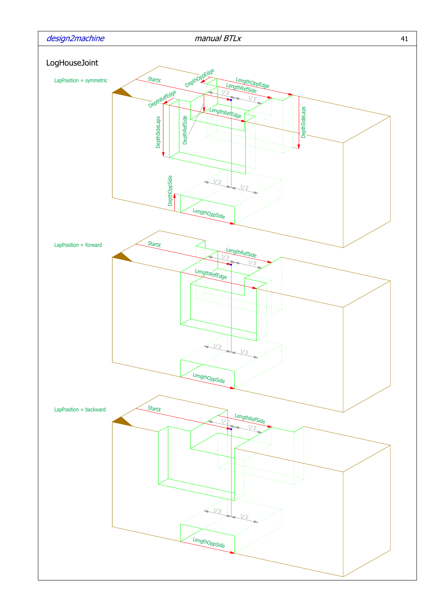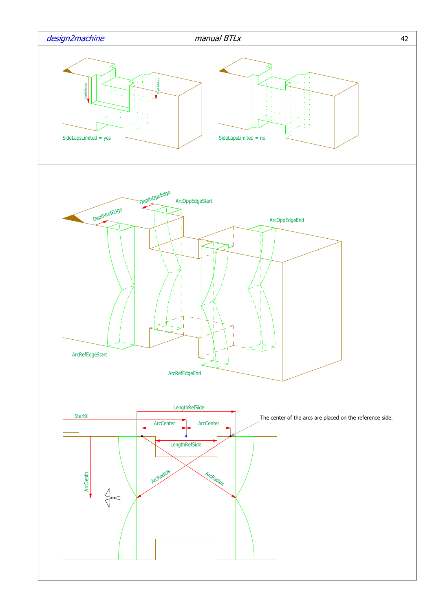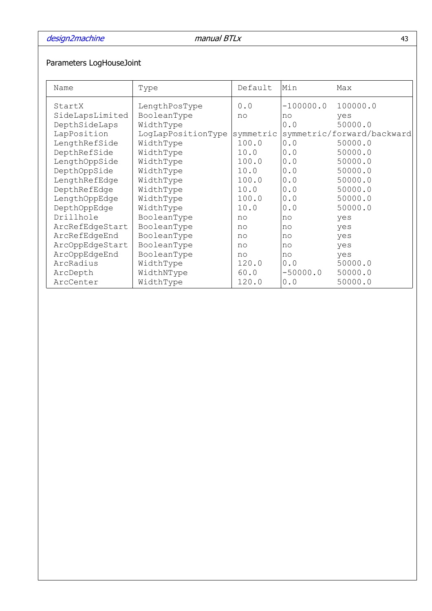# Parameters LogHouseJoint

| Name            | Type               | Default   | Min         | Max                        |
|-----------------|--------------------|-----------|-------------|----------------------------|
| StartX          | LengthPosType      | 0.0       | $-100000.0$ | 100000.0                   |
| SideLapsLimited | BooleanType        | no        | no          | yes                        |
| DepthSideLaps   | WidthType          |           | 0.0         | 50000.0                    |
| LapPosition     | LogLapPositionType | symmetric |             | symmetric/forward/backward |
| LengthRefSide   | WidthType          | 100.0     | 0.0         | 50000.0                    |
| DepthRefSide    | WidthType          | 10.0      | 0.0         | 50000.0                    |
| LengthOppSide   | WidthType          | 100.0     | 0.0         | 50000.0                    |
| DepthOppSide    | WidthType          | 10.0      | 0.0         | 50000.0                    |
| LengthRefEdge   | WidthType          | 100.0     | 0.0         | 50000.0                    |
| DepthRefEdge    | WidthType          | 10.0      | 0.0         | 50000.0                    |
| LengthOppEdge   | WidthType          | 100.0     | 0.0         | 50000.0                    |
| DepthOppEdge    | WidthType          | 10.0      | 0.0         | 50000.0                    |
| Drillhole       | BooleanType        | no        | no          | yes                        |
| ArcRefEdgeStart | BooleanType        | no        | no          | yes                        |
| ArcRefEdgeEnd   | BooleanType        | no        | no          | yes                        |
| ArcOppEdgeStart | BooleanType        | no        | no          | yes                        |
| ArcOppEdgeEnd   | BooleanType        | no        | no          | yes                        |
| ArcRadius       | WidthType          | 120.0     | 0.0         | 50000.0                    |
| ArcDepth        | WidthNType         | 60.0      | $-50000.0$  | 50000.0                    |
| ArcCenter       | WidthType          | 120.0     | 0.0         | 50000.0                    |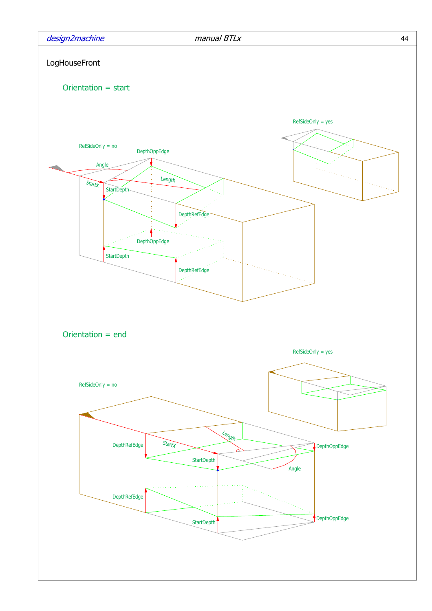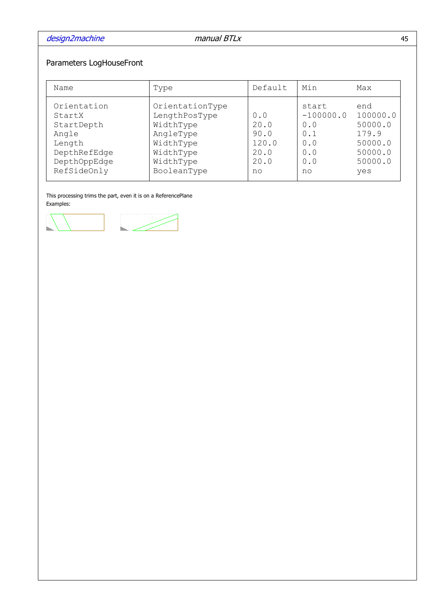# Parameters LogHouseFront

| Name                                                                                                  | Type                                                                                                             | Default                                            | Min                                                           | Max                                                                         |
|-------------------------------------------------------------------------------------------------------|------------------------------------------------------------------------------------------------------------------|----------------------------------------------------|---------------------------------------------------------------|-----------------------------------------------------------------------------|
| Orientation<br>StartX<br>StartDepth<br>Angle<br>Length<br>DepthRefEdge<br>DepthOppEdge<br>RefSideOnly | OrientationType<br>LengthPosType<br>WidthType<br>AngleType<br>WidthType<br>WidthType<br>WidthType<br>BooleanType | 0.0<br>20.0<br>90.0<br>120.0<br>20.0<br>20.0<br>no | start<br>$-100000.0$<br>0.0<br>0.1<br>0.0<br>0.0<br>0.0<br>no | end<br>100000.0<br>50000.0<br>179.9<br>50000.0<br>50000.0<br>50000.0<br>yes |

This processing trims the part, even it is on a ReferencePlane Examples:

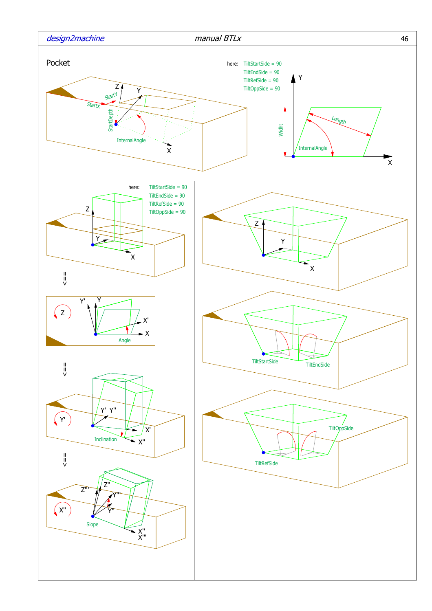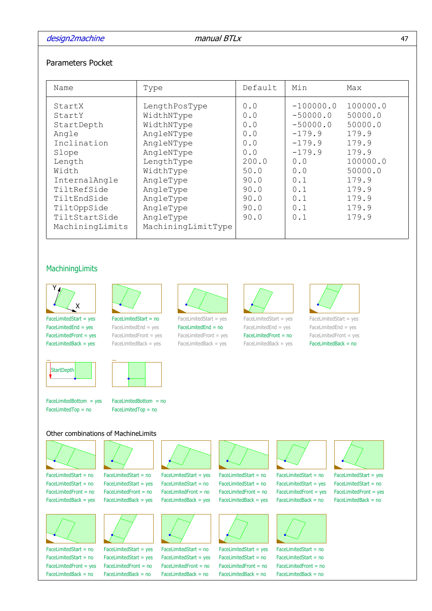### Parameters Pocket

| Name                                                                                                    | Type                                                                                              | Default                                         | Min                                                                                | Max                                                                   |
|---------------------------------------------------------------------------------------------------------|---------------------------------------------------------------------------------------------------|-------------------------------------------------|------------------------------------------------------------------------------------|-----------------------------------------------------------------------|
| StartX<br>StartY<br>StartDepth<br>Angle<br>Inclination<br>Slope<br>Length                               | LengthPosType<br>WidthNType<br>WidthNType<br>AngleNType<br>AngleNType<br>AngleNType<br>LengthType | 0.0<br>0.0<br>0.0<br>0.0<br>0.0<br>0.0<br>200.0 | $-100000.0$<br>$-50000.0$<br>$-50000.0$<br>$-179.9$<br>$-179.9$<br>$-179.9$<br>0.0 | 100000.0<br>50000.0<br>50000.0<br>179.9<br>179.9<br>179.9<br>100000.0 |
| Width<br>InternalAngle<br>TiltRefSide<br>TiltEndSide<br>TiltOppSide<br>TiltStartSide<br>MachiningLimits | WidthType<br>AngleType<br>AngleType<br>AngleType<br>AngleType<br>AngleType<br>MachiningLimitType  | 50.0<br>90.0<br>90.0<br>90.0<br>90.0<br>90.0    | 0.0<br>0.1<br>0.1<br>0.1<br>0.1<br>0.1                                             | 50000.0<br>179.9<br>179.9<br>179.9<br>179.9<br>179.9                  |

### MachiningLimits



FaceLimitedFront = yes FaceLimitedStart = yes FaceLimitedStart = no FaceLimitedEnd = yes



FaceLimitedBack = yes FaceLimitedEnd = yes FaceLimitedFront = yes





FaceLimitedEnd = no FaceLimitedStart = yes  $FacelimitedBack = yes$   $FacelimitedBack = yes$  $FacelimitedFront = yes$   $FacelimitedFront = no$   $FacelimitedFront = yes$ 



FaceLimitedFront = no FaceLimitedEnd = yes FaceLimitedEnd = yes



FaceLimitedBack = no FaceLimitedStart = yes FaceLimitedStart = yes



FaceLimitedBack = yes

FaceLimitedTop = no FaceLimitedTop = no



### Other combinations of MachineLimits



FaceLimitedStart =  $no$  FaceLimitedStart =  $no$  FaceLimitedStart =  $ves$ 



FaceLimitedStart = no FaceLimitedStart = yes FaceLimitedStart = no FaceLimitedStart = yes FaceLimitedStart = no FaceLimitedStart = no FaceLimitedStart = yes FaceLimitedStart = yes FaceLimitedStart = no FaceLimitedStart = no FaceLimitedFront = yes FaceLimitedBack = no FaceLimitedBack = no FaceLimitedBack = no FaceLimitedBack = no FaceLimitedBack = no









FaceLimitedStart = yes



FaceLimitedStart =  $no$  FaceLimitedStart =  $no$  FaceLimitedStart =  $ves$ FaceLimitedStart =  $no$  FaceLimitedStart =  $no$  FaceLimitedStart =  $ves$ FaceLimitedStart = no FaceLimitedStart = ves FaceLimitedStart = no FaceLimitedStart = no FaceLimitedStart = no FaceLimitedStart = no FaceLimitedFront = no FaceLimitedFront = no FaceLimitedFront = no FaceLimitedFront = no FaceLimitedBack = yes FaceLimitedBack = yes FaceLimitedBack = yes FaceLimitedBack = yes FaceLimitedBack = no FaceLimitedBack = no



FaceLimitedFront = no FaceLimitedFront = no FaceLimitedFront = no FaceLimitedFront = no







FaceLimitedFront = yes FaceLimitedFront = yes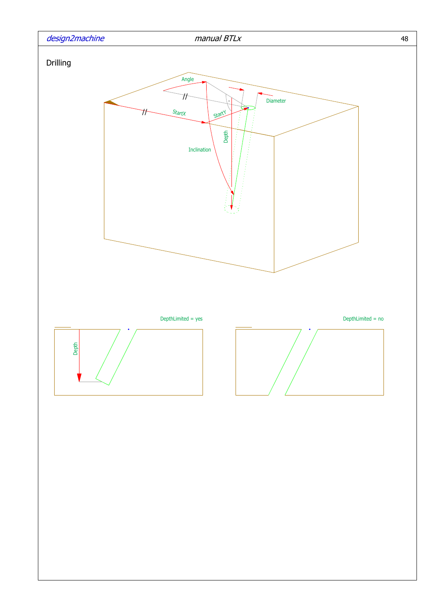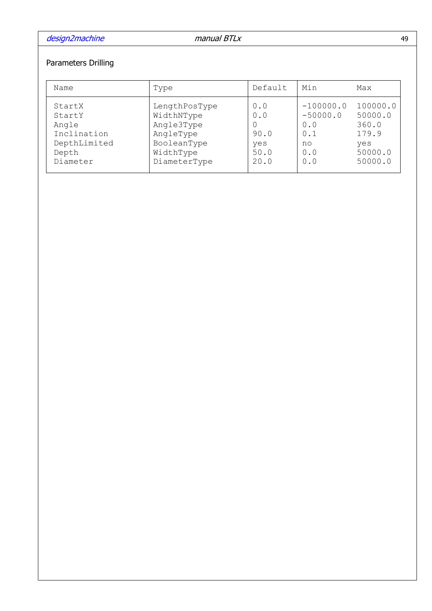# Parameters Drilling

| Name                                                                          | Type                                                                                               | Default                                   | Min                                                         | Max                                                                |
|-------------------------------------------------------------------------------|----------------------------------------------------------------------------------------------------|-------------------------------------------|-------------------------------------------------------------|--------------------------------------------------------------------|
| StartX<br>StartY<br>Angle<br>Inclination<br>DepthLimited<br>Depth<br>Diameter | LengthPosType<br>WidthNType<br>Angle3Type<br>AngleType<br>BooleanType<br>WidthType<br>DiameterType | 0.0<br>0.0<br>90.0<br>yes<br>50.0<br>20.0 | $-100000.0$<br>$-50000.0$<br>0.0<br>0.1<br>no<br>0.0<br>0.0 | 100000.0<br>50000.0<br>360.0<br>179.9<br>yes<br>50000.0<br>50000.0 |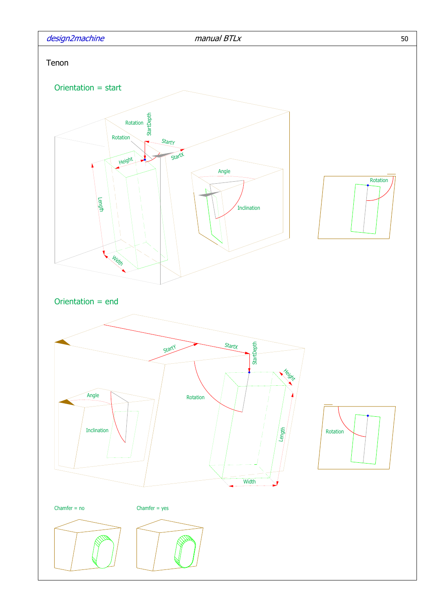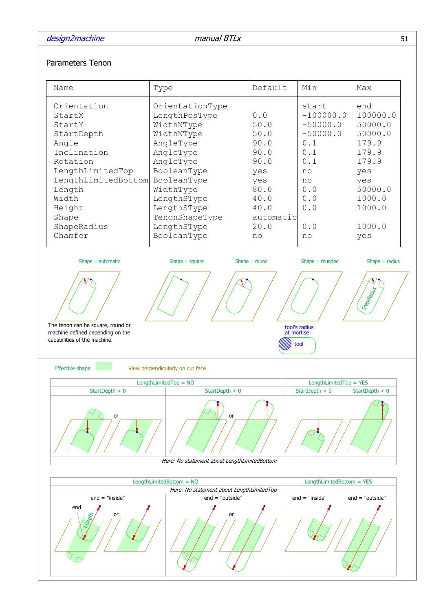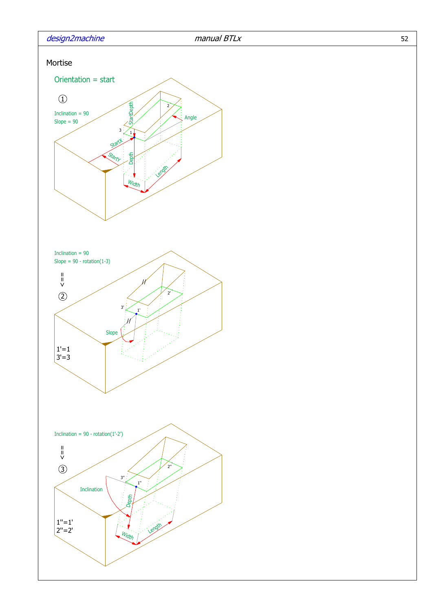



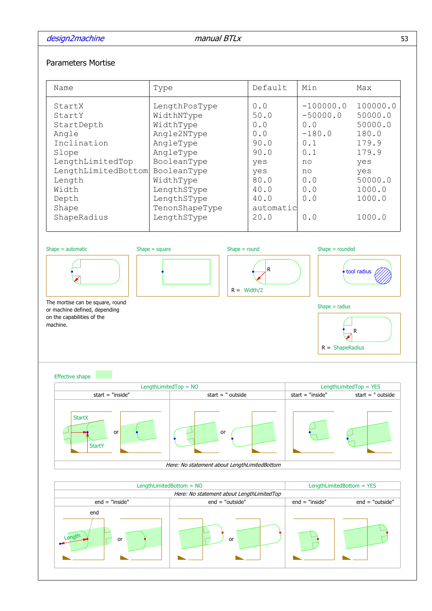

| Name                                                                                                                                                           | Type                                                                                                                                                                                        | Default                                                                                                                | Min                                                                                                | Max                                                                                                              |  |  |
|----------------------------------------------------------------------------------------------------------------------------------------------------------------|---------------------------------------------------------------------------------------------------------------------------------------------------------------------------------------------|------------------------------------------------------------------------------------------------------------------------|----------------------------------------------------------------------------------------------------|------------------------------------------------------------------------------------------------------------------|--|--|
| StartX<br>StartY<br>StartDepth<br>Angle<br>Inclination<br>Slope<br>LengthLimitedTop<br>LengthLimitedBottom<br>Length<br>Width<br>Depth<br>Shape<br>ShapeRadius | LengthPosType<br>WidthNType<br>WidthType<br>Angle2NType<br>AngleType<br>AngleType<br>BooleanType<br>BooleanType<br>WidthType<br>LengthSType<br>LengthSType<br>TenonShapeType<br>LengthSType | 0.0<br>50.0<br>${\bf 0}$ . ${\bf 0}$<br>0.0<br>90.0<br>90.0<br>yes<br>yes<br>80.0<br>40.0<br>40.0<br>automatic<br>20.0 | $-100000.0$<br>$-50000.0$<br>0.0<br>$-180.0$<br>0.1<br>0.1<br>no<br>no<br>0.0<br>0.0<br>0.0<br>0.0 | 100000.0<br>50000.0<br>50000.0<br>180.0<br>179.9<br>179.9<br>yes<br>yes<br>50000.0<br>1000.0<br>1000.0<br>1000.0 |  |  |
| Shape $=$ round<br>$Shape = rounded$<br>$Shape = automatic$<br>Shape $=$ square<br>R<br>tool radius<br>$R = \text{Width}/2$                                    |                                                                                                                                                                                             |                                                                                                                        |                                                                                                    |                                                                                                                  |  |  |
| The mortise can be square, round<br>$Shape = radius$<br>or machine defined, depending<br>on the capabilities of the<br>machine.<br>R<br>$R = ShapeRadius$      |                                                                                                                                                                                             |                                                                                                                        |                                                                                                    |                                                                                                                  |  |  |
| <b>Effective shape</b>                                                                                                                                         |                                                                                                                                                                                             |                                                                                                                        |                                                                                                    |                                                                                                                  |  |  |
| start $=$ "inside"                                                                                                                                             | LengthLimitedTop = $NO$<br>start $=$ " outside                                                                                                                                              |                                                                                                                        | start $=$ "inside"                                                                                 | LengthLimitedTop = YES<br>start $=$ " outside                                                                    |  |  |
| <b>StartX</b><br>or<br><b>StartY</b>                                                                                                                           | or                                                                                                                                                                                          |                                                                                                                        |                                                                                                    |                                                                                                                  |  |  |
|                                                                                                                                                                | Here: No statement about LengthLimitedBottom                                                                                                                                                |                                                                                                                        |                                                                                                    |                                                                                                                  |  |  |
|                                                                                                                                                                |                                                                                                                                                                                             |                                                                                                                        |                                                                                                    |                                                                                                                  |  |  |
|                                                                                                                                                                |                                                                                                                                                                                             |                                                                                                                        |                                                                                                    |                                                                                                                  |  |  |
|                                                                                                                                                                | LengthLimitedBottom = $NO$                                                                                                                                                                  |                                                                                                                        | LengthLimitedBottom = YES                                                                          |                                                                                                                  |  |  |
|                                                                                                                                                                | Here: No statement about LengthLimitedTop                                                                                                                                                   |                                                                                                                        |                                                                                                    |                                                                                                                  |  |  |
| $end = "inside"$<br>end                                                                                                                                        | $end = "outside"$                                                                                                                                                                           |                                                                                                                        | $end = "inside"$                                                                                   | $end = "outside"$                                                                                                |  |  |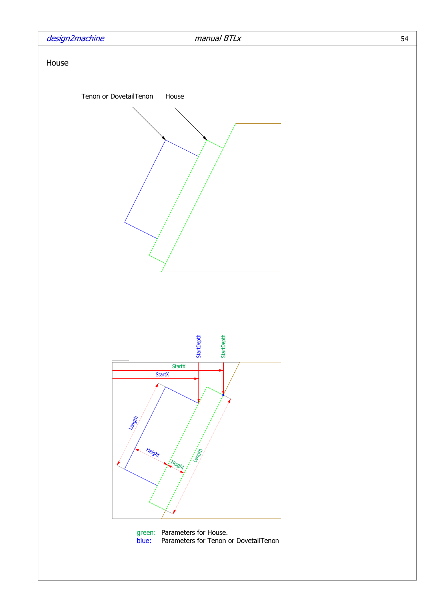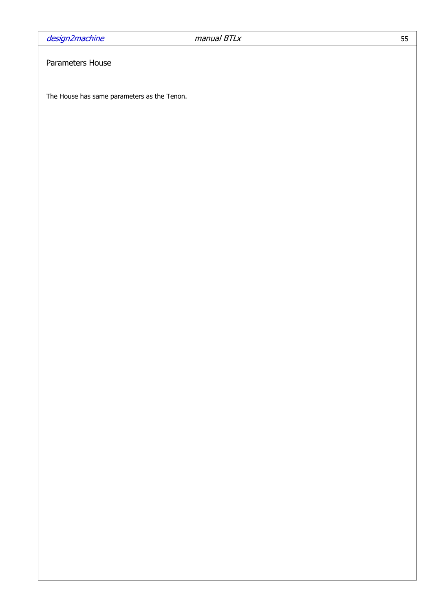## Parameters House

The House has same parameters as the Tenon.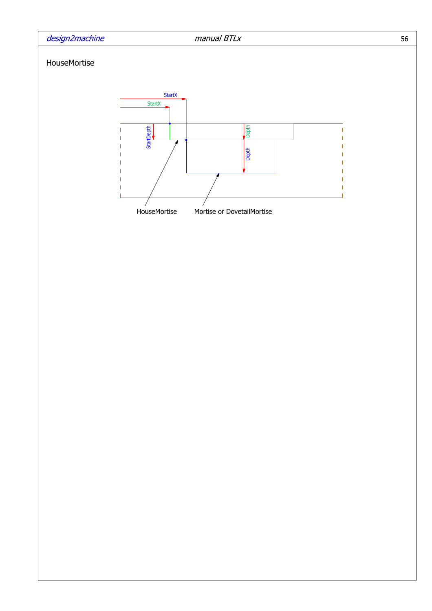### HouseMortise



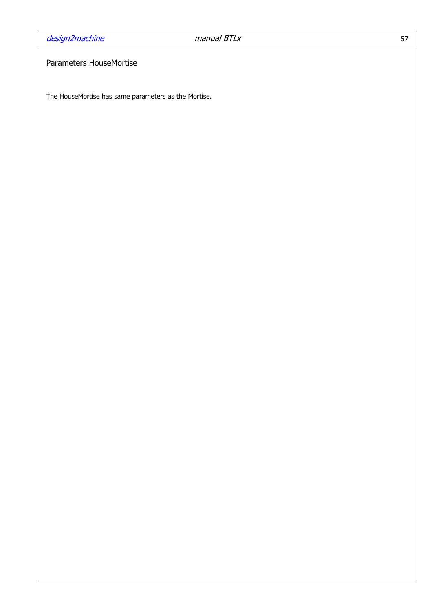## Parameters HouseMortise

The HouseMortise has same parameters as the Mortise.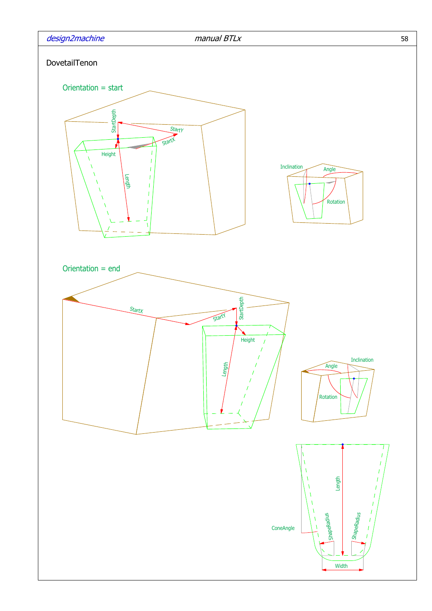

**Width**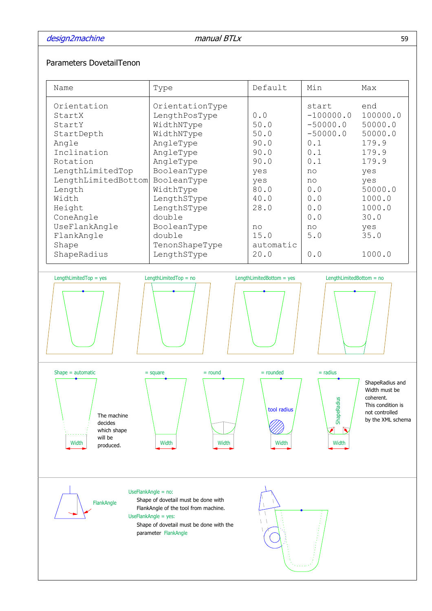### Parameters DovetailTenon

|                     |                 |           |             | Max      |
|---------------------|-----------------|-----------|-------------|----------|
| Orientation         | OrientationType |           | start       | end      |
| StartX              | LengthPosType   | 0.0       | $-100000.0$ | 100000.0 |
| StartY              | WidthNType      | 50.0      | $-50000.0$  | 50000.0  |
| StartDepth          | WidthNType      | 50.0      | $-50000.0$  | 50000.0  |
| Angle               | AngleType       | 90.0      | 0.1         | 179.9    |
| Inclination         | AngleType       | 90.0      | 0.1         | 179.9    |
| Rotation            | AngleType       | 90.0      | 0.1         | 179.9    |
| LengthLimitedTop    | BooleanType     | yes       | no          | yes      |
| LengthLimitedBottom | BooleanType     | yes       | no          | yes      |
| Length              | WidthType       | 80.0      | 0.0         | 50000.0  |
| Width               | LengthSType     | 40.0      | 0.0         | 1000.0   |
| Height              | LengthSType     | 28.0      | 0.0         | 1000.0   |
| ConeAngle           | double          |           | 0.0         | 30.0     |
| UseFlankAngle       | BooleanType     | no        | no          | yes      |
| FlankAngle          | double          | 15.0      | 5.0         | 35.0     |
| Shape               | TenonShapeType  | automatic |             |          |
| ShapeRadius         | LengthSType     | 20.0      | 0.0         | 1000.0   |
|                     |                 |           |             |          |

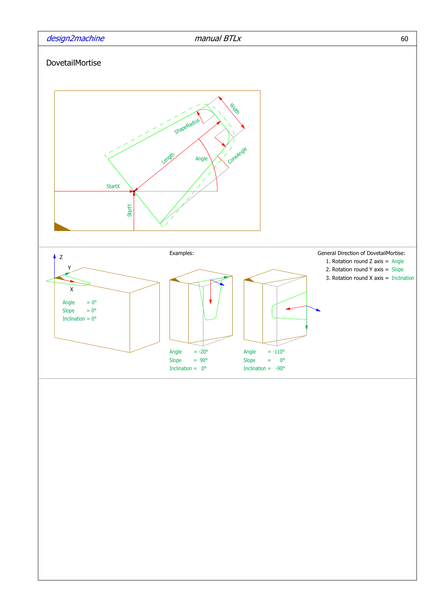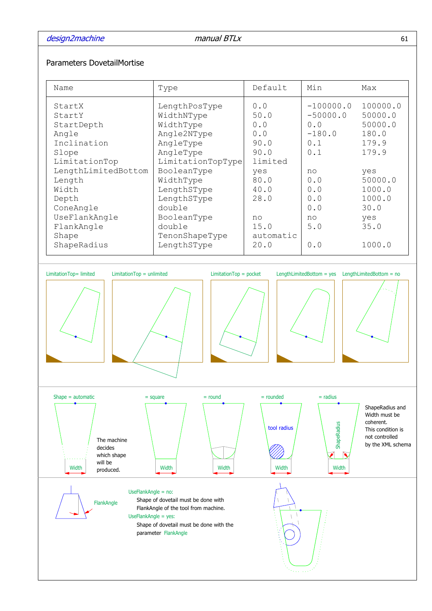### Parameters DovetailMortise

| Name                                                                                                                                 | Type                                                                                                                                            | Default                                                                   | Min                                                        | Max                                                                 |
|--------------------------------------------------------------------------------------------------------------------------------------|-------------------------------------------------------------------------------------------------------------------------------------------------|---------------------------------------------------------------------------|------------------------------------------------------------|---------------------------------------------------------------------|
| StartX<br>StartY<br>StartDepth<br>Angle<br>Inclination<br>Slope                                                                      | LengthPosType<br>WidthNType<br>WidthType<br>Angle2NType<br>AngleType<br>AngleType                                                               | 0.0<br>50.0<br>0.0<br>0.0<br>90.0<br>90.0                                 | $-100000.0$<br>$-50000.0$<br>0.0<br>$-180.0$<br>0.1<br>0.1 | 100000.0<br>50000.0<br>50000.0<br>180.0<br>179.9<br>179.9           |
| LimitationTop<br>LengthLimitedBottom<br>Length<br>Width<br>Depth<br>ConeAngle<br>UseFlankAngle<br>FlankAngle<br>Shape<br>ShapeRadius | LimitationTopType<br>BooleanType<br>WidthType<br>LengthSType<br>LengthSType<br>double<br>BooleanType<br>double<br>TenonShapeType<br>LengthSType | limited<br>yes<br>80.0<br>40.0<br>28.0<br>no<br>15.0<br>automatic<br>20.0 | no<br>0.0<br>0.0<br>0.0<br>0.0<br>no<br>5.0<br>0.0         | yes<br>50000.0<br>1000.0<br>1000.0<br>30.0<br>yes<br>35.0<br>1000.0 |

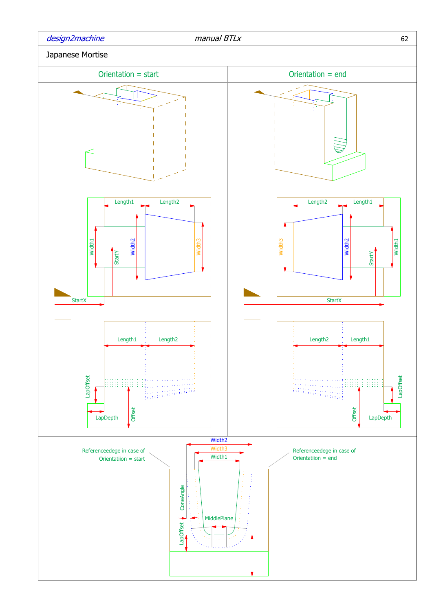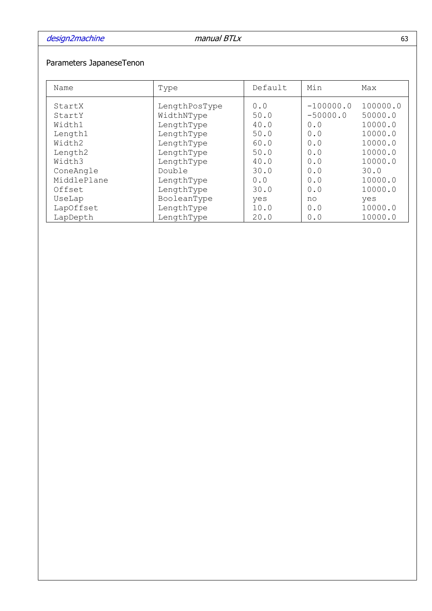# Parameters JapaneseTenon

| Name        | Type          | Default | Min         | Max      |
|-------------|---------------|---------|-------------|----------|
| StartX      | LengthPosType | 0.0     | $-100000.0$ | 100000.0 |
| StartY      | WidthNType    | 50.0    | $-50000.0$  | 50000.0  |
| Width1      | LengthType    | 40.0    | 0.0         | 10000.0  |
| Length1     | LengthType    | 50.0    | 0.0         | 10000.0  |
| Width2      | LengthType    | 60.0    | 0.0         | 10000.0  |
| Length2     | LengthType    | 50.0    | 0.0         | 10000.0  |
| Width3      | LengthType    | 40.0    | 0.0         | 10000.0  |
| ConeAngle   | Double        | 30.0    | 0.0         | 30.0     |
| MiddlePlane | LengthType    | 0.0     | 0.0         | 10000.0  |
| Offset      | LengthType    | 30.0    | 0.0         | 10000.0  |
| UseLap      | BooleanType   | yes     | no          | yes      |
| LapOffset   | LengthType    | 10.0    | 0.0         | 10000.0  |
| LapDepth    | LengthType    | 20.0    | 0.0         | 10000.0  |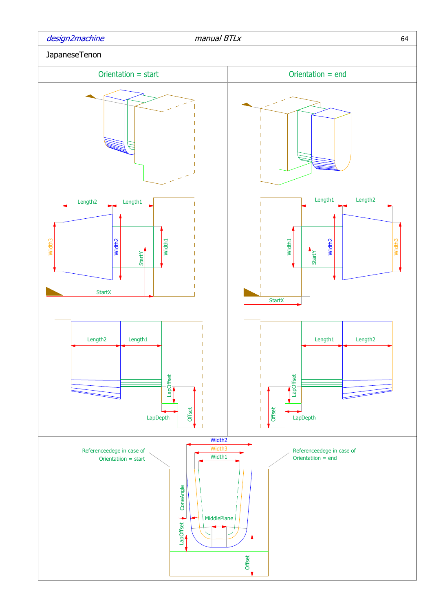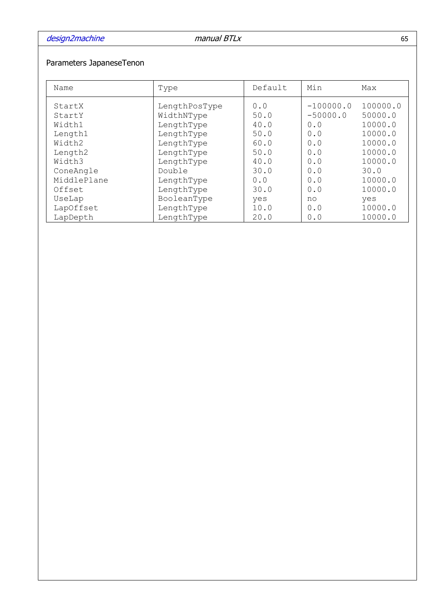# Parameters JapaneseTenon

| Name        | Type          | Default | Min         | Max      |
|-------------|---------------|---------|-------------|----------|
| StartX      | LengthPosType | 0.0     | $-100000.0$ | 100000.0 |
| StartY      | WidthNType    | 50.0    | $-50000.0$  | 50000.0  |
| Width1      | LengthType    | 40.0    | 0.0         | 10000.0  |
| Length1     | LengthType    | 50.0    | 0.0         | 10000.0  |
| Width2      | LengthType    | 60.0    | 0.0         | 10000.0  |
| Length2     | LengthType    | 50.0    | 0.0         | 10000.0  |
| Width3      | LengthType    | 40.0    | 0.0         | 10000.0  |
| ConeAngle   | Double        | 30.0    | 0.0         | 30.0     |
| MiddlePlane | LengthType    | 0.0     | 0.0         | 10000.0  |
| Offset      | LengthType    | 30.0    | 0.0         | 10000.0  |
| UseLap      | BooleanType   | yes     | no          | yes      |
| LapOffset   | LengthType    | 10.0    | 0.0         | 10000.0  |
| LapDepth    | LengthType    | 20.0    | 0.0         | 10000.0  |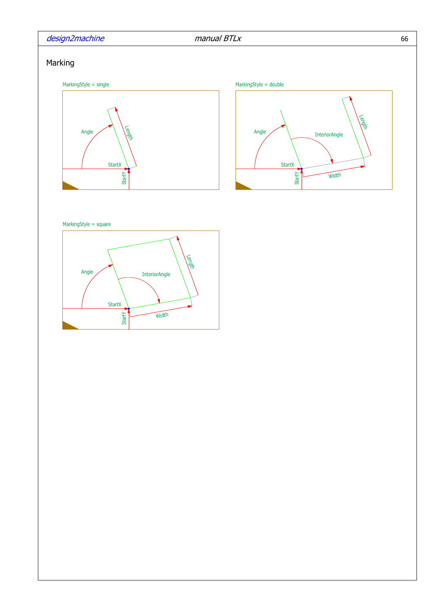## design2machine manual BTLx

## Marking





MarkingStyle = square

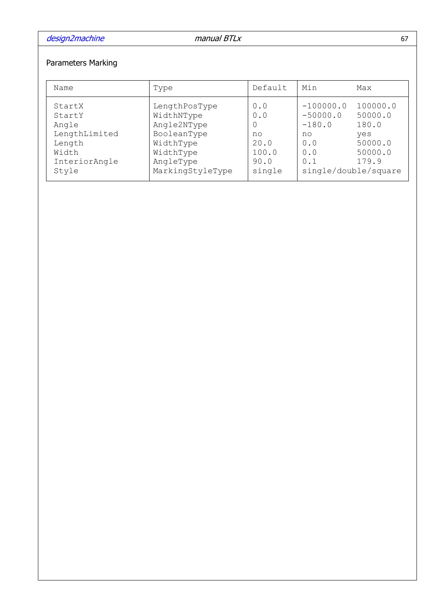# Parameters Marking

| Name                                                                                    | Type                                                                                                                 | Default                                             | Min                                                                                      | Max                                                                |
|-----------------------------------------------------------------------------------------|----------------------------------------------------------------------------------------------------------------------|-----------------------------------------------------|------------------------------------------------------------------------------------------|--------------------------------------------------------------------|
| StartX<br>StartY<br>Angle<br>LengthLimited<br>Length<br>Width<br>InteriorAngle<br>Style | LengthPosType<br>WidthNType<br>Angle2NType<br>BooleanType<br>WidthType<br>WidthType<br>AngleType<br>MarkingStyleType | 0.0<br>0.0<br>no<br>20.0<br>100.0<br>90.0<br>single | $-100000.0$<br>$-50000.0$<br>$-180.0$<br>no<br>0.0<br>0.0<br>0.1<br>single/double/square | 100000.0<br>50000.0<br>180.0<br>yes<br>50000.0<br>50000.0<br>179.9 |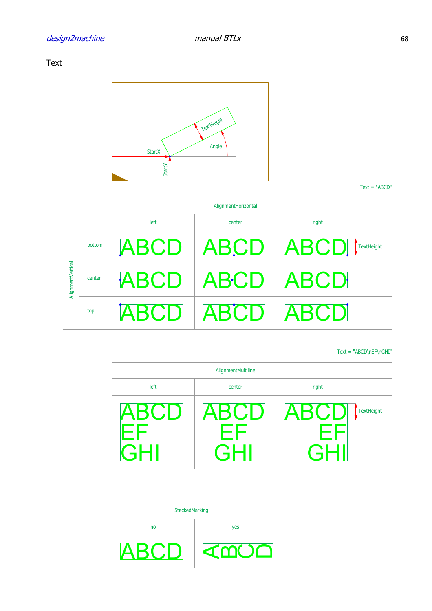

Text = "ABCD\nEF\nGHI"

|                | AlignmentMultiline |                                 |
|----------------|--------------------|---------------------------------|
| left           | center             | right                           |
| ABCD           | ABCD<br>EF         | ABCD<br><b>TextHeight</b><br>FF |
| StackedMarking |                    |                                 |
| no             | yes                |                                 |
| <b>ABCL</b>    |                    |                                 |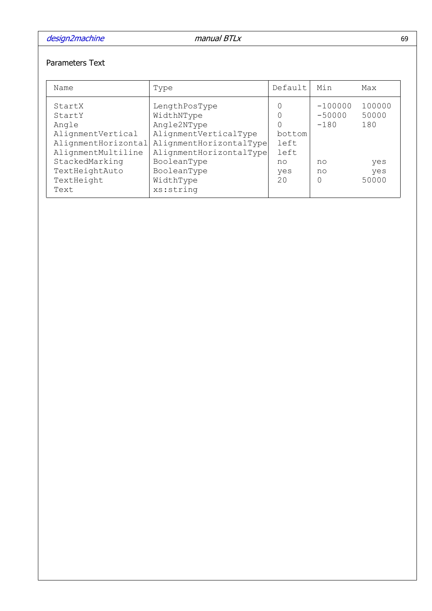## Parameters Text

| Name                                                                                                                                          | Type                                                                                                                                                                 | Default                                   | Min                                              | Max                                           |
|-----------------------------------------------------------------------------------------------------------------------------------------------|----------------------------------------------------------------------------------------------------------------------------------------------------------------------|-------------------------------------------|--------------------------------------------------|-----------------------------------------------|
| StartX<br>StartY<br>Angle<br>AlignmentVertical<br>AlignmentHorizontal<br>AlignmentMultiline<br>StackedMarking<br>TextHeightAuto<br>TextHeight | LengthPosType<br>WidthNType<br>Angle2NType<br>AlignmentVerticalType<br>AlignmentHorizontalType<br>AlignmentHorizontalType<br>BooleanType<br>BooleanType<br>WidthType | bottom<br>left<br>left<br>no<br>yes<br>20 | $-100000$<br>$-50000$<br>$-180$<br>no<br>no<br>O | 100000<br>50000<br>180<br>yes<br>yes<br>50000 |
| Text                                                                                                                                          | xs:string                                                                                                                                                            |                                           |                                                  |                                               |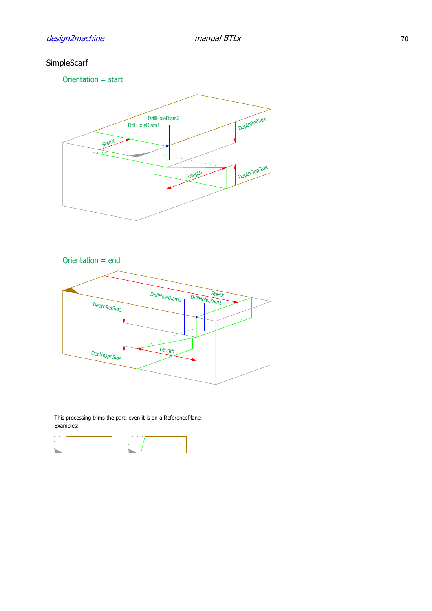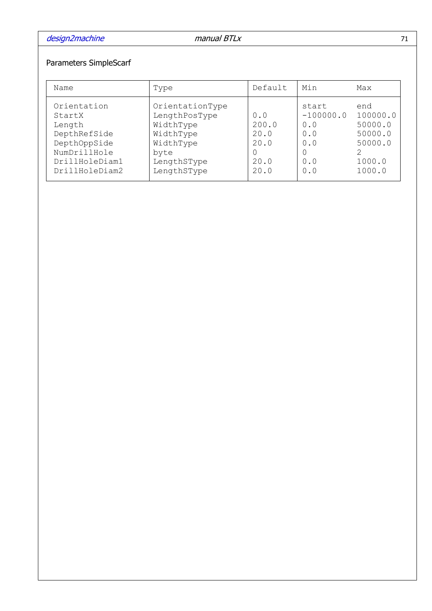# Parameters SimpleScarf

| Name                                                                                                                | Type                                                                                                          | Default                                      | Min                                                          | Max                                                                  |
|---------------------------------------------------------------------------------------------------------------------|---------------------------------------------------------------------------------------------------------------|----------------------------------------------|--------------------------------------------------------------|----------------------------------------------------------------------|
| Orientation<br>StartX<br>Length<br>DepthRefSide<br>DepthOppSide<br>NumDrillHole<br>DrillHoleDiam1<br>DrillHoleDiam2 | OrientationType<br>LengthPosType<br>WidthType<br>WidthType<br>WidthType<br>byte<br>LengthSType<br>LengthSType | 0.0<br>200.0<br>20.0<br>20.0<br>20.0<br>20.0 | start<br>$-100000.0$<br>0.0<br>0.0<br>0.0<br>0<br>0.0<br>0.0 | end<br>100000.0<br>50000.0<br>50000.0<br>50000.0<br>1000.0<br>1000.0 |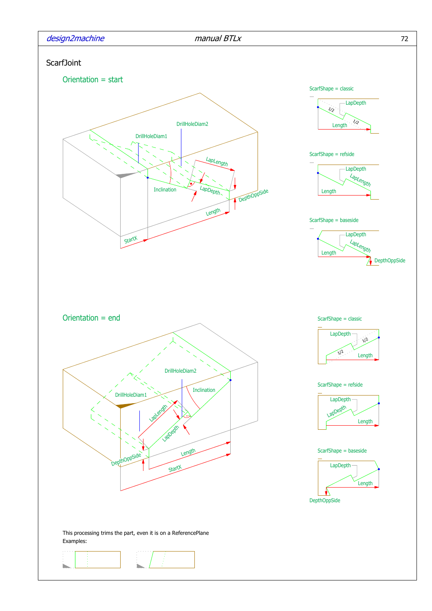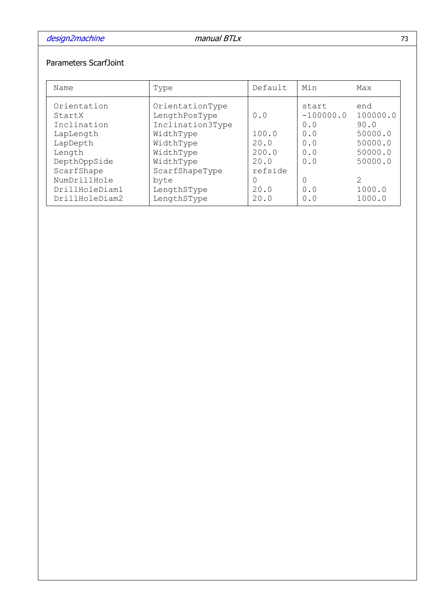## Parameters ScarfJoint

| Name                                                                                                                  | Type                                                                                                                               | Default                                          | Min                                                          | Max                                                                                  |
|-----------------------------------------------------------------------------------------------------------------------|------------------------------------------------------------------------------------------------------------------------------------|--------------------------------------------------|--------------------------------------------------------------|--------------------------------------------------------------------------------------|
| Orientation<br>StartX<br>Inclination<br>LapLength<br>LapDepth<br>Length<br>DepthOppSide<br>ScarfShape<br>NumDrillHole | OrientationType<br>LengthPosType<br>Inclination3Type<br>WidthType<br>WidthType<br>WidthType<br>WidthType<br>ScarfShapeType<br>byte | 0.0<br>100.0<br>20.0<br>200.0<br>20.0<br>refside | start<br>$-100000.0$<br>0.0<br>0.0<br>0.0<br>0.0<br>0.0<br>0 | end<br>100000.0<br>90.0<br>50000.0<br>50000.0<br>50000.0<br>50000.0<br>$\mathcal{L}$ |
| DrillHoleDiam1<br>DrillHoleDiam2                                                                                      | LengthSType<br>LengthSType                                                                                                         | 20.0<br>20.0                                     | 0.0<br>0.0                                                   | 1000.0<br>1000.0                                                                     |
|                                                                                                                       |                                                                                                                                    |                                                  |                                                              |                                                                                      |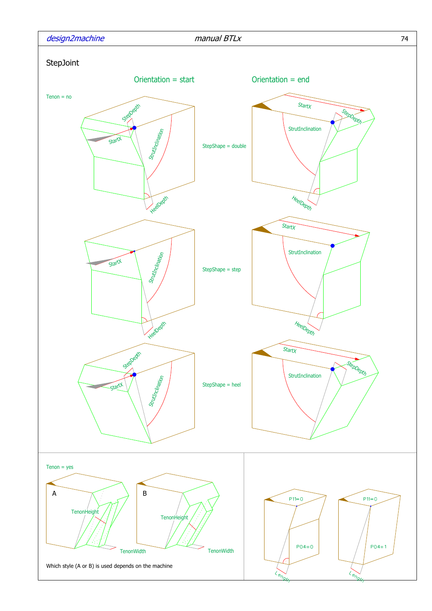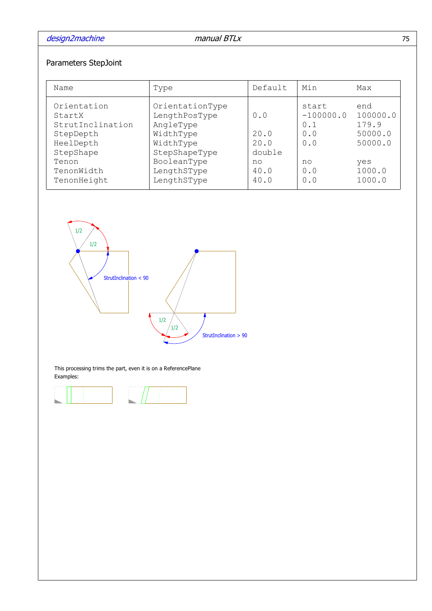# Parameters StepJoint

| Name                                                                                                                   | Type                                                                                                                                  | Default                                             | Min                                                           | Max                                                                       |
|------------------------------------------------------------------------------------------------------------------------|---------------------------------------------------------------------------------------------------------------------------------------|-----------------------------------------------------|---------------------------------------------------------------|---------------------------------------------------------------------------|
| Orientation<br>StartX<br>StrutInclination<br>StepDepth<br>HeelDepth<br>StepShape<br>Tenon<br>TenonWidth<br>TenonHeight | OrientationType<br>LengthPosType<br>AngleType<br>WidthType<br>WidthType<br>StepShapeType<br>BooleanType<br>LengthSType<br>LengthSType | 0.0<br>20.0<br>20.0<br>double<br>no<br>40.0<br>40.0 | start<br>$-100000.0$<br>0.1<br>0.0<br>0.0<br>no<br>0.0<br>0.0 | end<br>100000.0<br>179.9<br>50000.0<br>50000.0<br>yes<br>1000.0<br>1000.0 |



This processing trims the part, even it is on a ReferencePlane Examples:

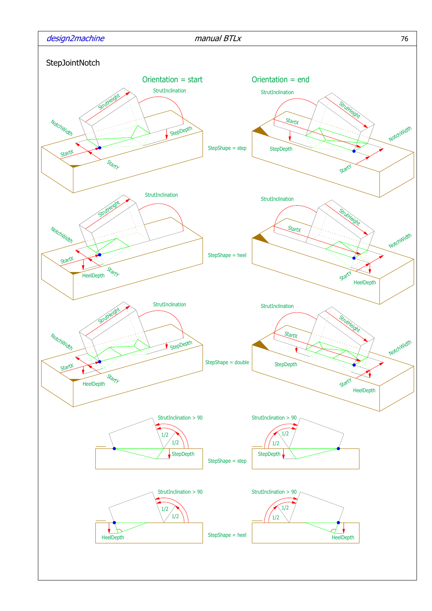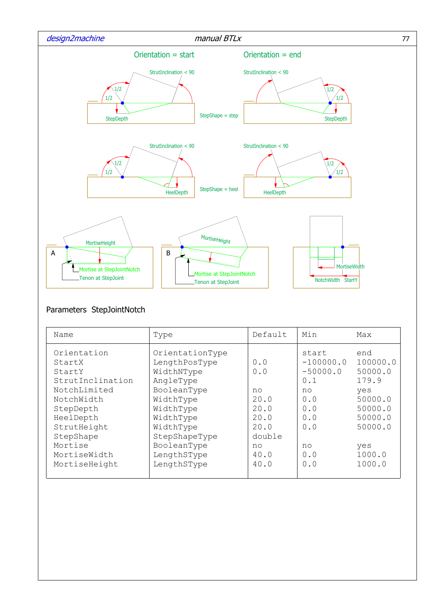

## Parameters StepJointNotch

|                                                                                                                                                                                     | Type                                                                                                                                                                                         | Default                                                                          | Min                                                                                             | Max                                                                                                               |
|-------------------------------------------------------------------------------------------------------------------------------------------------------------------------------------|----------------------------------------------------------------------------------------------------------------------------------------------------------------------------------------------|----------------------------------------------------------------------------------|-------------------------------------------------------------------------------------------------|-------------------------------------------------------------------------------------------------------------------|
| Orientation<br>StartX<br>StartY<br>StrutInclination<br>NotchLimited<br>NotchWidth<br>StepDepth<br>HeelDepth<br>StrutHeight<br>StepShape<br>Mortise<br>MortiseWidth<br>MortiseHeight | OrientationType<br>LengthPosType<br>WidthNType<br>AngleType<br>BooleanType<br>WidthType<br>WidthType<br>WidthType<br>WidthType<br>StepShapeType<br>BooleanType<br>LengthSType<br>LengthSType | 0.0<br>0.0<br>no<br>20.0<br>20.0<br>20.0<br>20.0<br>double<br>no<br>40.0<br>40.0 | start<br>$-100000.0$<br>$-50000.0$<br>0.1<br>no<br>0.0<br>0.0<br>0.0<br>0.0<br>no<br>0.0<br>0.0 | end<br>100000.0<br>50000.0<br>179.9<br>yes<br>50000.0<br>50000.0<br>50000.0<br>50000.0<br>yes<br>1000.0<br>1000.0 |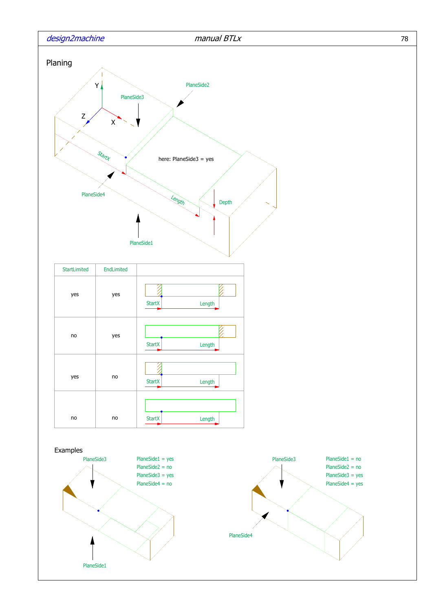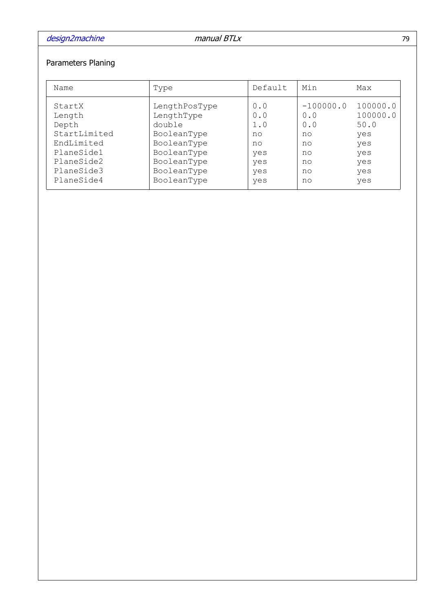# Parameters Planing

| Name         | Type          | Default | Min         | Max      |
|--------------|---------------|---------|-------------|----------|
| StartX       | LengthPosType | 0.0     | $-100000.0$ | 100000.0 |
| Length       | LengthType    | 0.0     | 0.0         | 100000.0 |
| Depth        | double        | 1.0     | 0.0         | 50.0     |
| StartLimited | BooleanType   | no      | no          | yes      |
| EndLimited   | BooleanType   | no      | no          | yes      |
| PlaneSide1   | BooleanType   | yes     | no          | yes      |
| PlaneSide2   | BooleanType   | yes     | no          | yes      |
| PlaneSide3   | BooleanType   | yes     | no          | yes      |
| PlaneSide4   | BooleanType   | yes     | no          | yes      |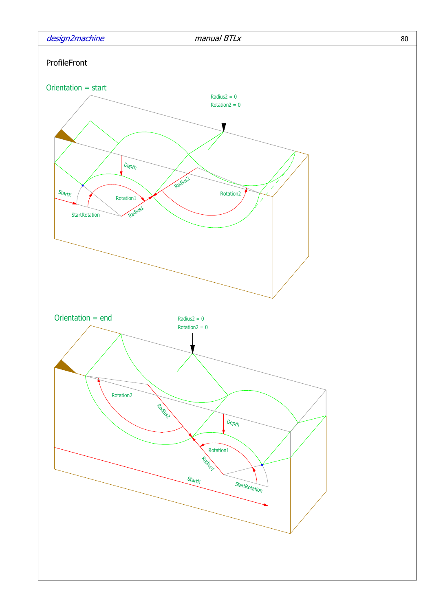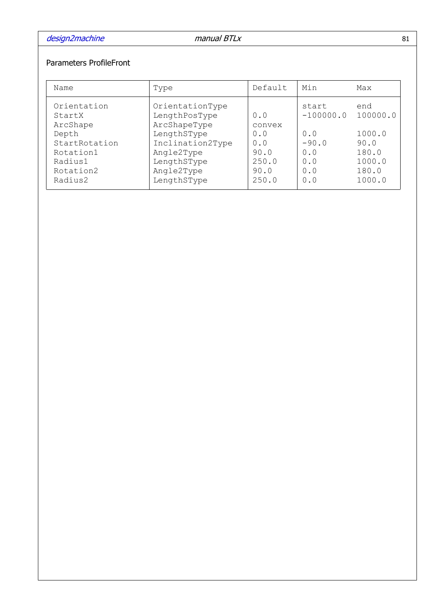## Parameters ProfileFront

| Name                                                                                                        | Type                                                                                                                                          | Default                                                       | Min                                                                | Max                                                                     |
|-------------------------------------------------------------------------------------------------------------|-----------------------------------------------------------------------------------------------------------------------------------------------|---------------------------------------------------------------|--------------------------------------------------------------------|-------------------------------------------------------------------------|
| Orientation<br>StartX<br>ArcShape<br>Depth<br>StartRotation<br>Rotation1<br>Radius1<br>Rotation2<br>Radius2 | OrientationType<br>LengthPosType<br>ArcShapeType<br>LengthSType<br>Inclination2Type<br>Angle2Type<br>LengthSType<br>Angle2Type<br>LengthSType | 0.0<br>convex<br>0.0<br>0.0<br>90.0<br>250.0<br>90.0<br>250.0 | start<br>$-100000.0$<br>0.0<br>$-90.0$<br>0.0<br>0.0<br>0.0<br>0.0 | end<br>100000.0<br>1000.0<br>90.0<br>180.0<br>1000.0<br>180.0<br>1000.0 |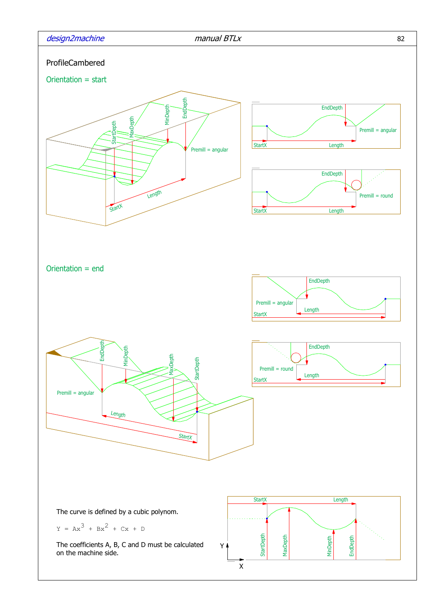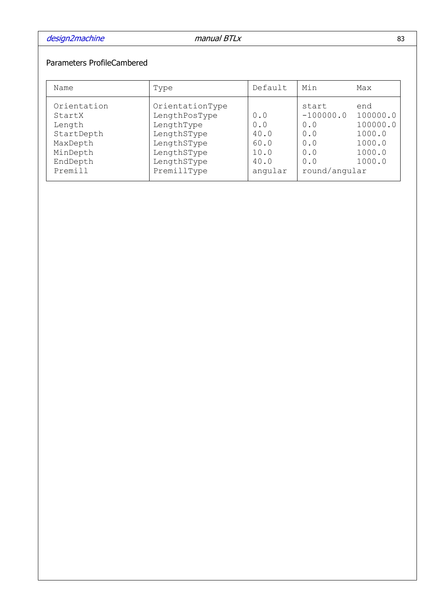## Parameters ProfileCambered

| Name                                                                                         | Type                                                                                                                      | Default                                               | Min                                                                      | Max                                                                 |
|----------------------------------------------------------------------------------------------|---------------------------------------------------------------------------------------------------------------------------|-------------------------------------------------------|--------------------------------------------------------------------------|---------------------------------------------------------------------|
| Orientation<br>StartX<br>Length<br>StartDepth<br>MaxDepth<br>MinDepth<br>EndDepth<br>Premill | OrientationType<br>LengthPosType<br>LengthType<br>LengthSType<br>LengthSType<br>LengthSType<br>LengthSType<br>PremillType | 0.0<br>0.0<br>40.0<br>60.0<br>10.0<br>40.0<br>angular | start<br>$-100000.0$<br>0.0<br>0.0<br>0.0<br>0.0<br>0.0<br>round/angular | end<br>100000.0<br>100000.0<br>1000.0<br>1000.0<br>1000.0<br>1000.0 |
|                                                                                              |                                                                                                                           |                                                       |                                                                          |                                                                     |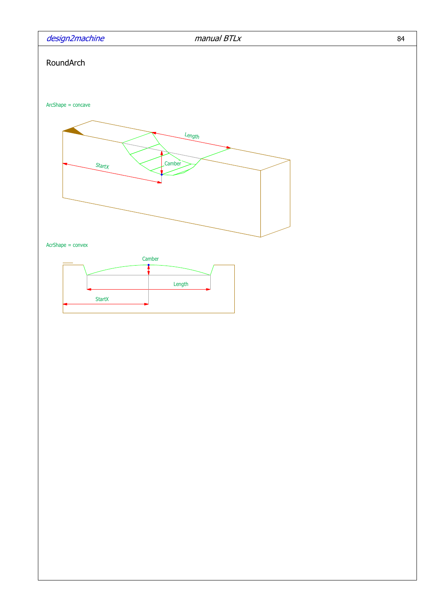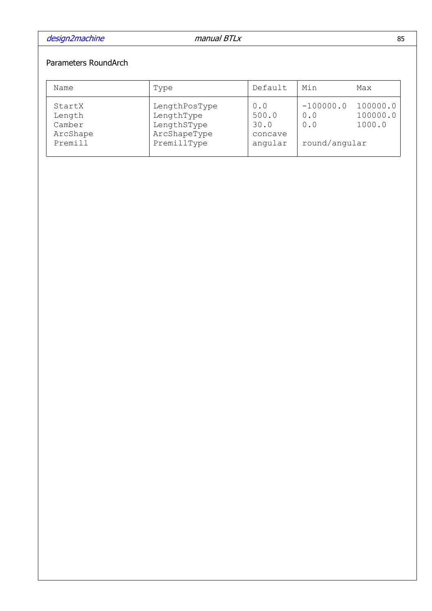## Parameters RoundArch

| Name                                              | Type                                                                      | Default                                    | Min                                        | Max                            |
|---------------------------------------------------|---------------------------------------------------------------------------|--------------------------------------------|--------------------------------------------|--------------------------------|
| StartX<br>Length<br>Camber<br>ArcShape<br>Premill | LengthPosType<br>LengthType<br>LengthSType<br>ArcShapeType<br>PremillType | 0.0<br>500.0<br>30.0<br>concave<br>angular | $-100000.0$<br>0.0<br>0.0<br>round/angular | 100000.0<br>100000.0<br>1000.0 |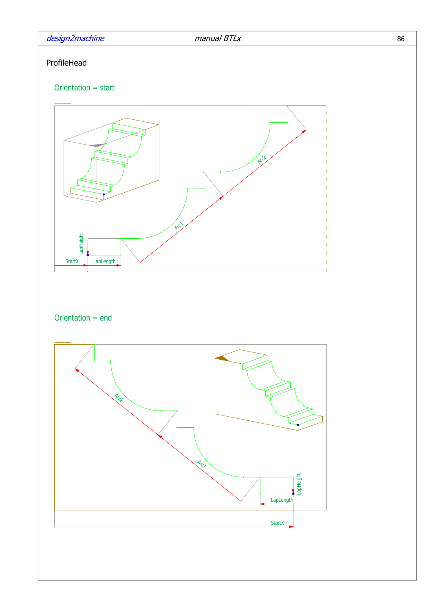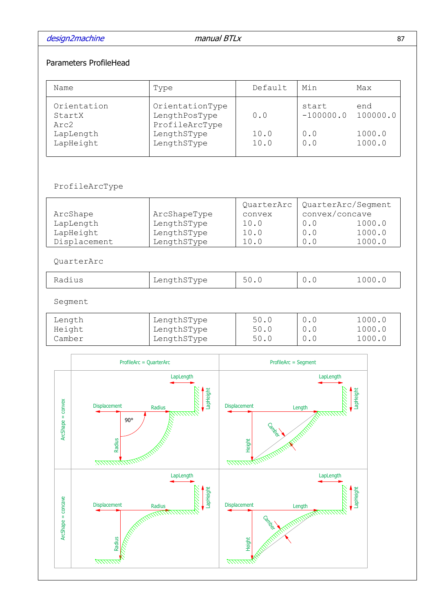design2machine and the manual BTLx 87

### Parameters ProfileHead

| Name                          | Type                                               | Default      | Min                  | Max              |
|-------------------------------|----------------------------------------------------|--------------|----------------------|------------------|
| Orientation<br>StartX<br>Arc2 | OrientationType<br>LengthPosType<br>ProfileArcType | 0.0          | start<br>$-100000.0$ | end<br>100000.0  |
| LapLength<br>LapHeight        | LengthSType<br>LengthSType                         | 10.0<br>10.0 | 0.0<br>0.0           | 1000.0<br>1000.0 |

### ProfileArcType

|              |              | QuarterArc | QuarterArc/Seqment |        |
|--------------|--------------|------------|--------------------|--------|
| ArcShape     | ArcShapeType | convex     | convex/concave     |        |
| LapLength    | LengthSType  | 10.0       | 0.0                | 1000.0 |
| LapHeight    | LengthSType  | 10.0       | 0.0                | 1000.0 |
| Displacement | LengthSType  | 10.0       |                    | 1000.0 |

### QuarterArc

| ~туре<br>.<br>- --<br>Radius<br>rend cito tv | <u>_</u><br>$\backsim$ . $\backsim$ |  |  |
|----------------------------------------------|-------------------------------------|--|--|
|----------------------------------------------|-------------------------------------|--|--|

Segment

| Length | LengthSType | 50.0 |     | 1000.0 |
|--------|-------------|------|-----|--------|
| Height | LengthSType | 50.0 |     | 1000.0 |
| Camber | LengthSType | 50.0 | 0.0 | 1000.0 |

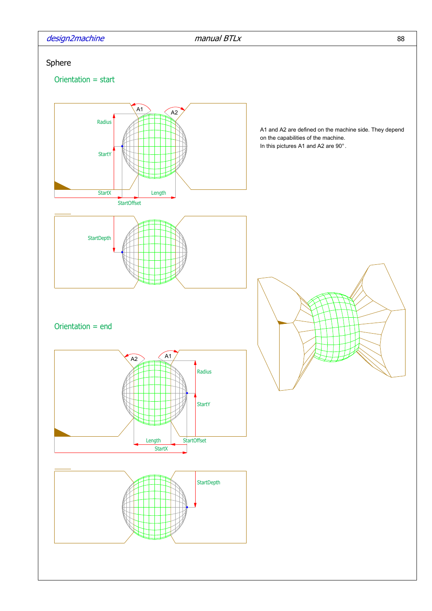design2machine manual BTLx

# Sphere

Orientation = start

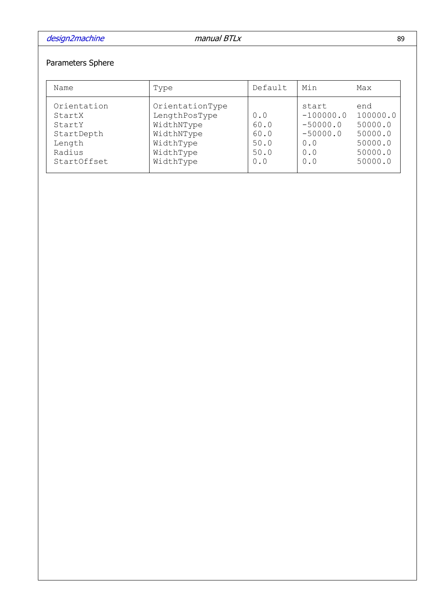# Parameters Sphere

| Name                                                                             | Type                                                                                                | Default                                    | Min                                                                   | Max                                                                    |
|----------------------------------------------------------------------------------|-----------------------------------------------------------------------------------------------------|--------------------------------------------|-----------------------------------------------------------------------|------------------------------------------------------------------------|
| Orientation<br>StartX<br>StartY<br>StartDepth<br>Length<br>Radius<br>StartOffset | OrientationType<br>LengthPosType<br>WidthNType<br>WidthNType<br>WidthType<br>WidthType<br>WidthType | 0.0<br>60.0<br>60.0<br>50.0<br>50.0<br>0.0 | start<br>$-100000.0$<br>$-50000.0$<br>$-50000.0$<br>0.0<br>0.0<br>0.0 | end<br>100000.0<br>50000.0<br>50000.0<br>50000.0<br>50000.0<br>50000.0 |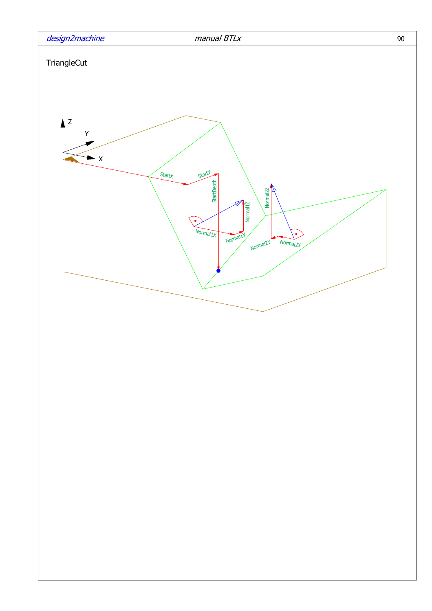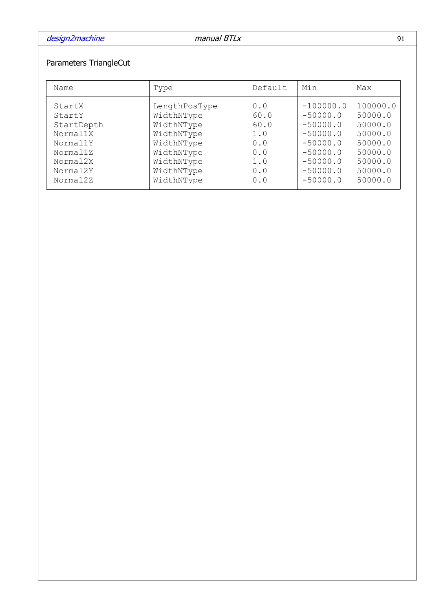# Parameters TriangleCut

| Name       | Type          | Default | Min         | Max      |
|------------|---------------|---------|-------------|----------|
| StartX     | LengthPosType | 0.0     | $-100000.0$ | 100000.0 |
| StartY     | WidthNType    | 60.0    | $-50000.0$  | 50000.0  |
| StartDepth | WidthNType    | 60.0    | $-50000.0$  | 50000.0  |
| Normal1X   | WidthNType    | 1.0     | $-50000.0$  | 50000.0  |
| Normal1Y   | WidthNType    | 0.0     | $-50000.0$  | 50000.0  |
| Normal1Z   | WidthNType    | 0.0     | $-50000.0$  | 50000.0  |
| Normal2X   | WidthNType    | 1.0     | $-50000.0$  | 50000.0  |
| Normal2Y   | WidthNType    | 0.0     | $-50000.0$  | 50000.0  |
| Normal2Z   | WidthNType    | 0.0     | $-50000.0$  | 50000.0  |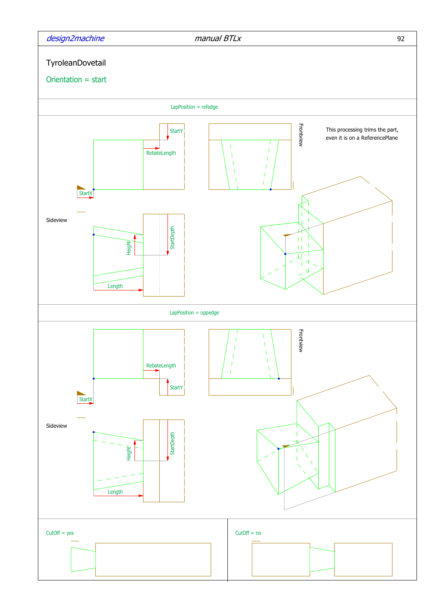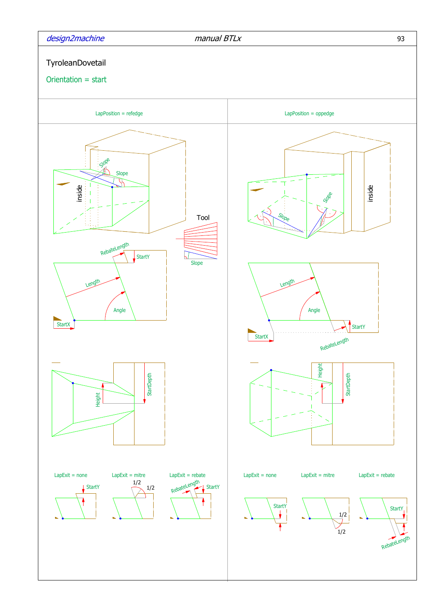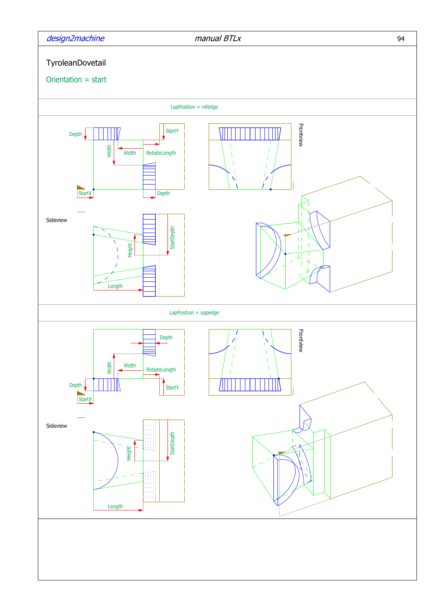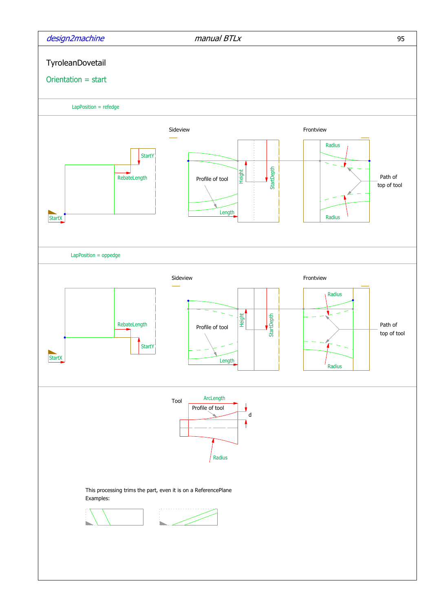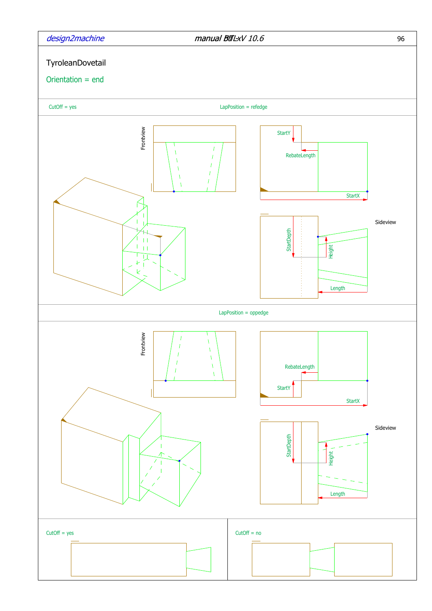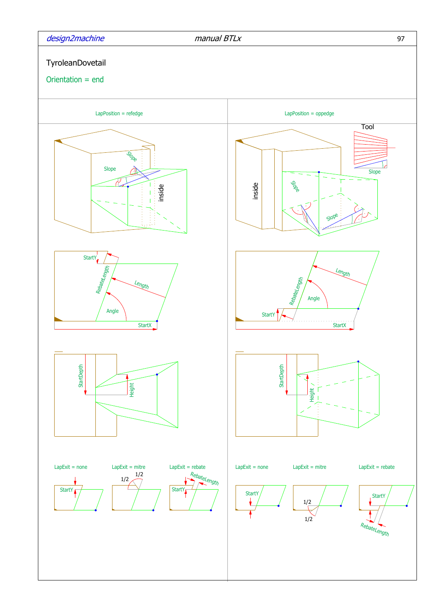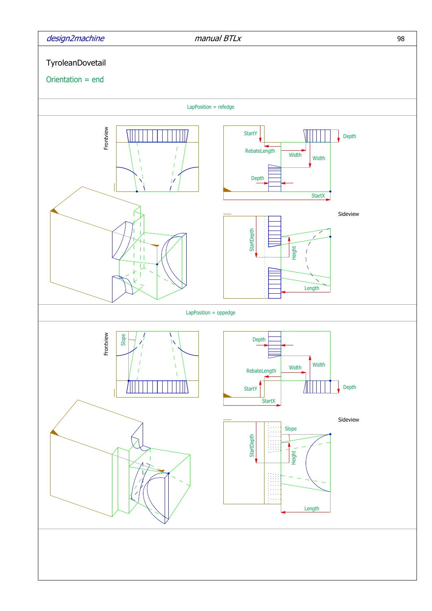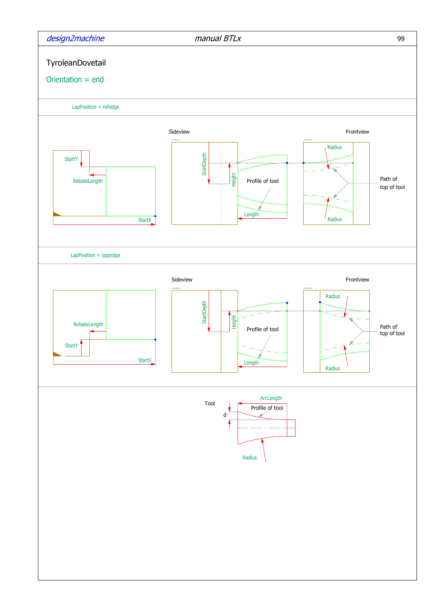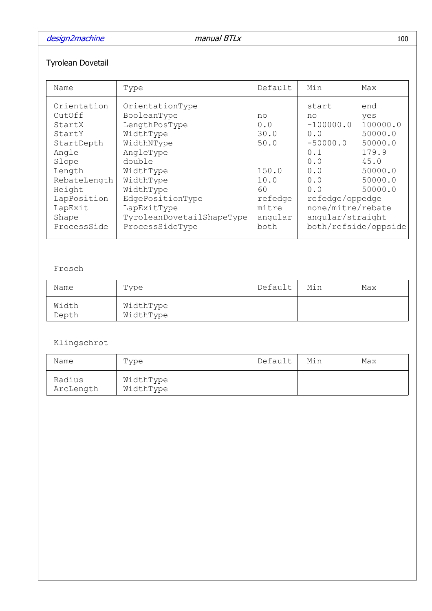design2machine manual BTLx 100

# Tyrolean Dovetail

| Name                                                                                                                                                            | Type                                                                                                                                                                                                                        | Default                                                                                 | Min                                                                                                                                            | Max                                                                                            |
|-----------------------------------------------------------------------------------------------------------------------------------------------------------------|-----------------------------------------------------------------------------------------------------------------------------------------------------------------------------------------------------------------------------|-----------------------------------------------------------------------------------------|------------------------------------------------------------------------------------------------------------------------------------------------|------------------------------------------------------------------------------------------------|
| Orientation<br>CutOff<br>StartX<br>StartY<br>StartDepth<br>Angle<br>Slope<br>Length<br>RebateLength<br>Height<br>LapPosition<br>LapExit<br>Shape<br>ProcessSide | OrientationType<br>BooleanType<br>LengthPosType<br>WidthType<br>WidthNType<br>AngleType<br>double<br>WidthType<br>WidthType<br>WidthType<br>EdgePositionType<br>LapExitType<br>TyroleanDovetailShapeType<br>ProcessSideType | no<br>0.0<br>30.0<br>50.0<br>150.0<br>10.0<br>60<br>refedge<br>mitre<br>angular<br>both | start<br>no<br>$-100000.0$<br>0.0<br>$-50000.0$<br>0.1<br>0.0<br>0.0<br>0.0<br>0.0<br>refedge/oppedge<br>none/mitre/rebate<br>angular/straight | end<br>yes<br>100000.0<br>50000.0<br>50000.0<br>179.9<br>45.0<br>50000.0<br>50000.0<br>50000.0 |
|                                                                                                                                                                 |                                                                                                                                                                                                                             |                                                                                         | both/refside/oppside                                                                                                                           |                                                                                                |

## Frosch

| Name           | Type                   | Default | Min | Max |
|----------------|------------------------|---------|-----|-----|
| Width<br>Depth | WidthType<br>WidthType |         |     |     |

## Klingschrot

| Name                | Type                   | Default | Min | Max |
|---------------------|------------------------|---------|-----|-----|
| Radius<br>ArcLength | WidthType<br>WidthType |         |     |     |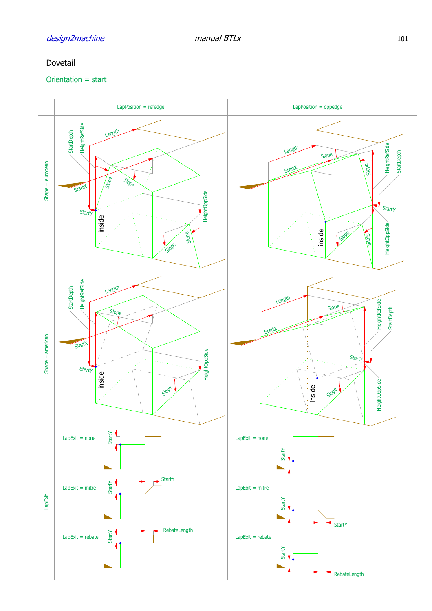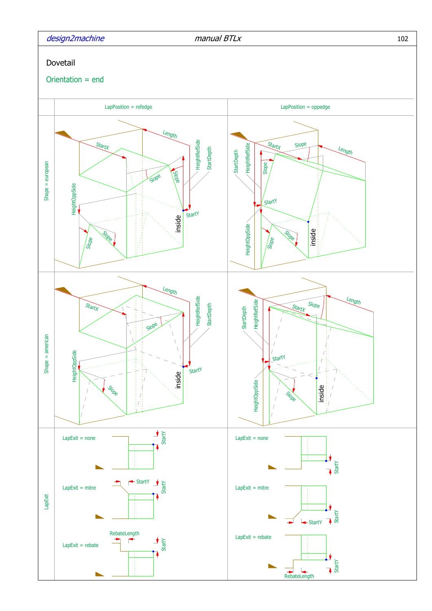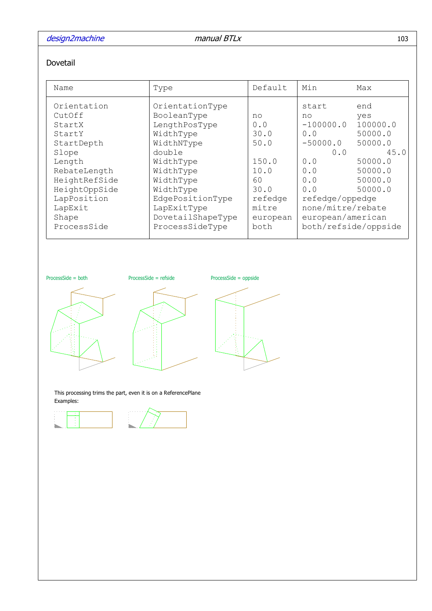# design2machine manual BTLx 103

### Dovetail

| Name                                                                                                                | Type                                                                                                                                  | Default                                                             | Min                                                                                                                  | Max                                              |
|---------------------------------------------------------------------------------------------------------------------|---------------------------------------------------------------------------------------------------------------------------------------|---------------------------------------------------------------------|----------------------------------------------------------------------------------------------------------------------|--------------------------------------------------|
| Orientation<br>CutOff<br>StartX<br>StartY<br>StartDepth                                                             | OrientationType<br>BooleanType<br>LengthPosType<br>WidthType<br>WidthNType                                                            | no<br>0.0<br>30.0<br>50.0                                           | start<br>no<br>$-100000.0$<br>0.0<br>$-50000.0$                                                                      | end<br>yes<br>100000.0<br>50000.0<br>50000.0     |
| Slope<br>Length<br>RebateLength<br>HeightRefSide<br>HeightOppSide<br>LapPosition<br>LapExit<br>Shape<br>ProcessSide | double<br>WidthType<br>WidthType<br>WidthType<br>WidthType<br>EdgePositionType<br>LapExitType<br>DovetailShapeType<br>ProcessSideType | 150.0<br>10.0<br>60<br>30.0<br>refedge<br>mitre<br>european<br>both | 0.0<br>0.0<br>0.0<br>0.0<br>0.0<br>refedge/oppedge<br>none/mitre/rebate<br>european/american<br>both/refside/oppside | 45.0<br>50000.0<br>50000.0<br>50000.0<br>50000.0 |

ProcessSide = both ProcessSide = refside ProcessSide = oppside







This processing trims the part, even it is on a ReferencePlane Examples:



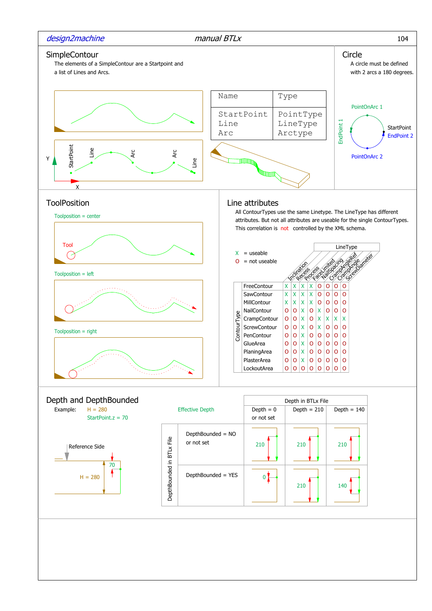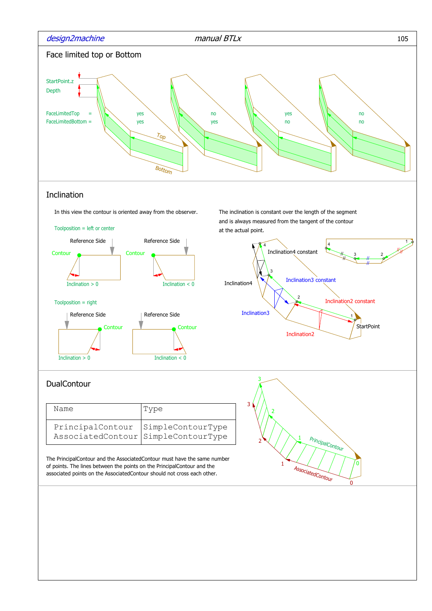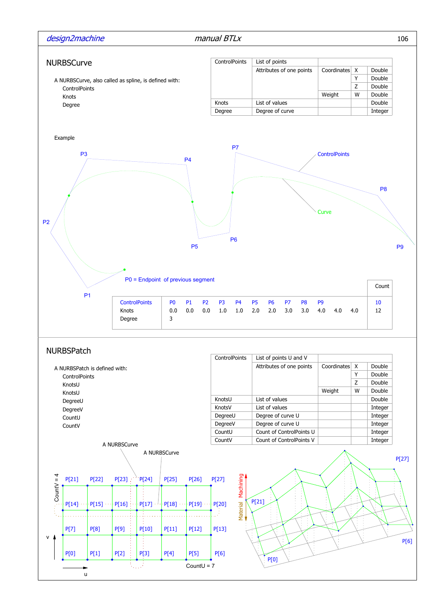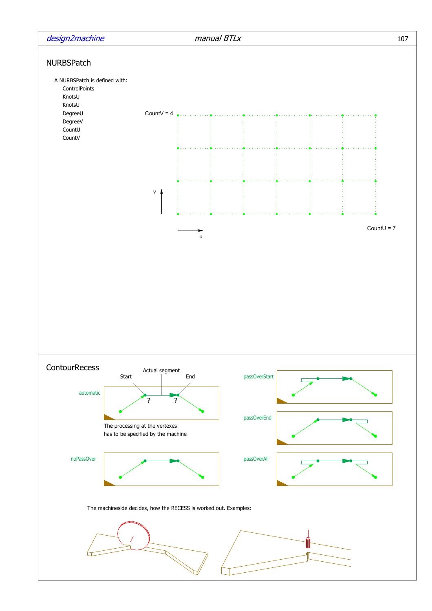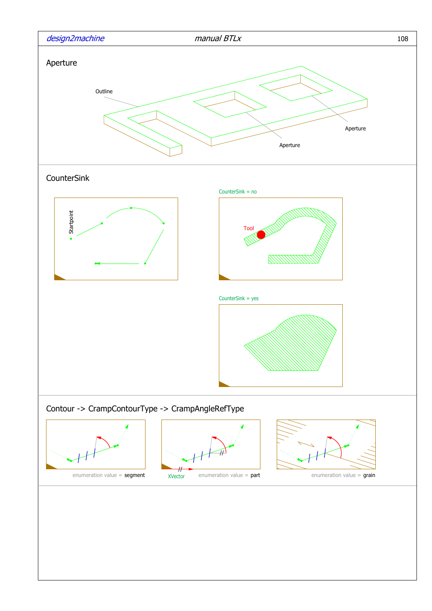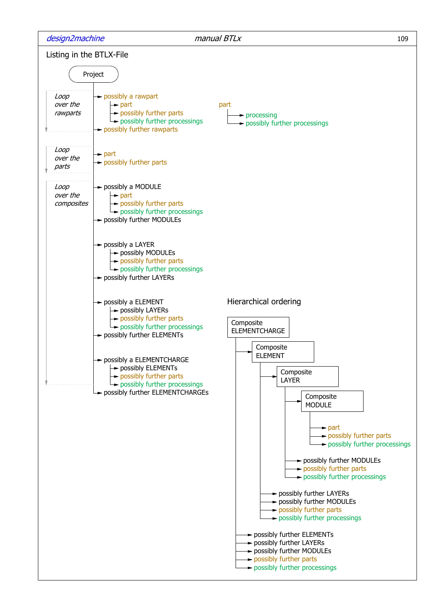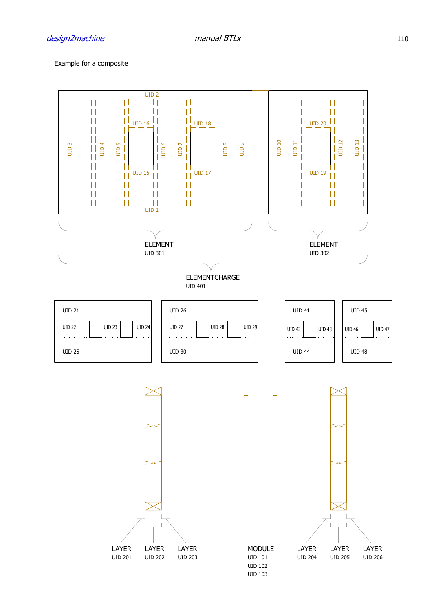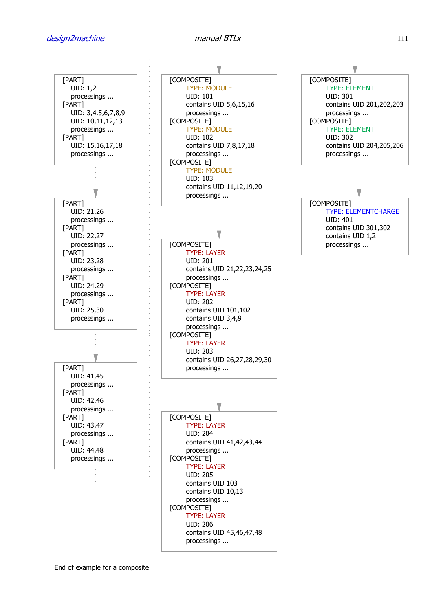